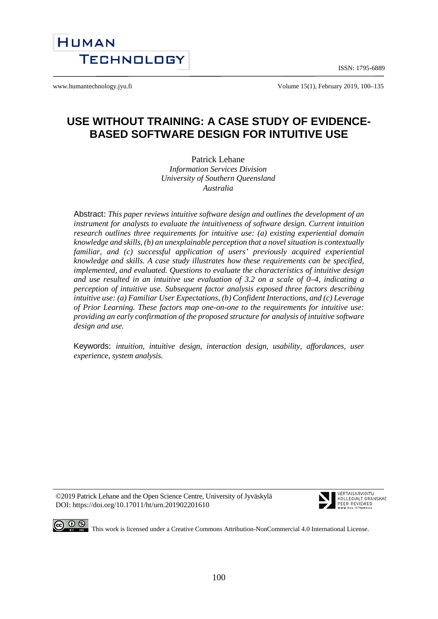ISSN: 1795-6889



www.humantechnology.jyu.fi Volume 15(1), February 2019, 100–135

# **USE WITHOUT TRAINING: A CASE STUDY OF EVIDENCE-BASED SOFTWARE DESIGN FOR INTUITIVE USE**

Patrick Lehane *Information Services Division University of Southern Queensland Australia*

Abstract: *This paper reviews intuitive software design and outlines the development of an instrument for analysts to evaluate the intuitiveness of software design. Current intuition research outlines three requirements for intuitive use: (a) existing experiential domain knowledge and skills, (b) an unexplainable perception that a novel situation is contextually familiar, and (c) successful application of users' previously acquired experiential knowledge and skills. A case study illustrates how these requirements can be specified, implemented, and evaluated. Questions to evaluate the characteristics of intuitive design and use resulted in an intuitive use evaluation of 3.2 on a scale of 0–4, indicating a perception of intuitive use. Subsequent factor analysis exposed three factors describing intuitive use: (a) Familiar User Expectations, (b) Confident Interactions, and (c) Leverage of Prior Learning. These factors map one-on-one to the requirements for intuitive use: providing an early confirmation of the proposed structure for analysis of intuitive software design and use.*

Keywords: *intuition, intuitive design, interaction design, usability, affordances, user experience, system analysis.* 

©2019 Patrick Lehane and the Open Science Centre, University of Jyväskylä DOI: https://doi.org/10.17011/ht/urn.201902201610



VERTAISARVIOITU KOLLEGIALT GRANSKAD PEER-REVIEWED

CO  $\bigcirc$   $\bigcirc$   $\bigcirc$   $\bigcirc$  This work is licensed under a Creative Commons Attribution-NonCommercial 4.0 International License.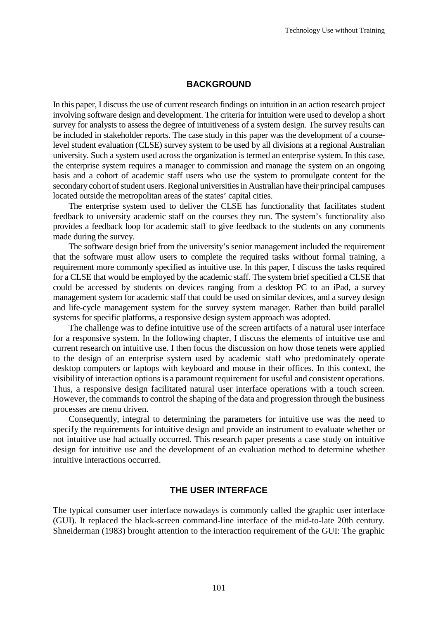#### **BACKGROUND**

In this paper, I discuss the use of current research findings on intuition in an action research project involving software design and development. The criteria for intuition were used to develop a short survey for analysts to assess the degree of intuitiveness of a system design. The survey results can be included in stakeholder reports. The case study in this paper was the development of a courselevel student evaluation (CLSE) survey system to be used by all divisions at a regional Australian university. Such a system used across the organization is termed an enterprise system. In this case, the enterprise system requires a manager to commission and manage the system on an ongoing basis and a cohort of academic staff users who use the system to promulgate content for the secondary cohort of student users. Regional universities in Australian have their principal campuses located outside the metropolitan areas of the states' capital cities.

The enterprise system used to deliver the CLSE has functionality that facilitates student feedback to university academic staff on the courses they run. The system's functionality also provides a feedback loop for academic staff to give feedback to the students on any comments made during the survey.

The software design brief from the university's senior management included the requirement that the software must allow users to complete the required tasks without formal training, a requirement more commonly specified as intuitive use. In this paper, I discuss the tasks required for a CLSE that would be employed by the academic staff. The system brief specified a CLSE that could be accessed by students on devices ranging from a desktop PC to an iPad, a survey management system for academic staff that could be used on similar devices, and a survey design and life-cycle management system for the survey system manager. Rather than build parallel systems for specific platforms, a responsive design system approach was adopted.

The challenge was to define intuitive use of the screen artifacts of a natural user interface for a responsive system. In the following chapter, I discuss the elements of intuitive use and current research on intuitive use. I then focus the discussion on how those tenets were applied to the design of an enterprise system used by academic staff who predominately operate desktop computers or laptops with keyboard and mouse in their offices. In this context, the visibility of interaction options is a paramount requirement for useful and consistent operations. Thus, a responsive design facilitated natural user interface operations with a touch screen. However, the commands to control the shaping of the data and progression through the business processes are menu driven.

Consequently, integral to determining the parameters for intuitive use was the need to specify the requirements for intuitive design and provide an instrument to evaluate whether or not intuitive use had actually occurred. This research paper presents a case study on intuitive design for intuitive use and the development of an evaluation method to determine whether intuitive interactions occurred.

#### **THE USER INTERFACE**

The typical consumer user interface nowadays is commonly called the graphic user interface (GUI). It replaced the black-screen command-line interface of the mid-to-late 20th century. Shneiderman (1983) brought attention to the interaction requirement of the GUI: The graphic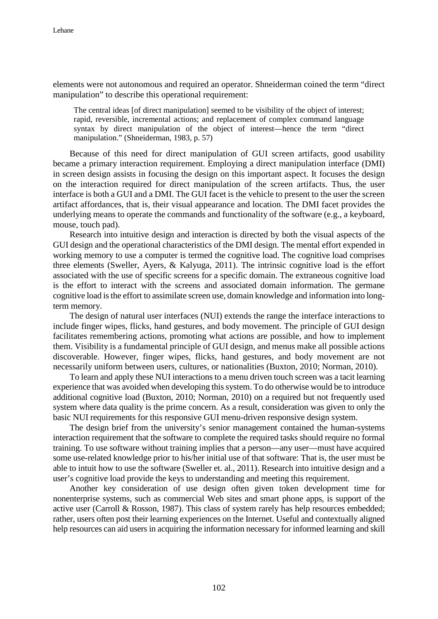elements were not autonomous and required an operator. Shneiderman coined the term "direct manipulation" to describe this operational requirement:

The central ideas [of direct manipulation] seemed to be visibility of the object of interest; rapid, reversible, incremental actions; and replacement of complex command language syntax by direct manipulation of the object of interest—hence the term "direct manipulation." (Shneiderman, 1983, p. 57)

Because of this need for direct manipulation of GUI screen artifacts, good usability became a primary interaction requirement. Employing a direct manipulation interface (DMI) in screen design assists in focusing the design on this important aspect. It focuses the design on the interaction required for direct manipulation of the screen artifacts. Thus, the user interface is both a GUI and a DMI. The GUI facet is the vehicle to present to the user the screen artifact affordances, that is, their visual appearance and location. The DMI facet provides the underlying means to operate the commands and functionality of the software (e.g., a keyboard, mouse, touch pad).

Research into intuitive design and interaction is directed by both the visual aspects of the GUI design and the operational characteristics of the DMI design. The mental effort expended in working memory to use a computer is termed the cognitive load. The cognitive load comprises three elements (Sweller, Ayers, & Kalyuga, 2011). The intrinsic cognitive load is the effort associated with the use of specific screens for a specific domain. The extraneous cognitive load is the effort to interact with the screens and associated domain information. The germane cognitive load is the effort to assimilate screen use, domain knowledge and information into longterm memory.

The design of natural user interfaces (NUI) extends the range the interface interactions to include finger wipes, flicks, hand gestures, and body movement. The principle of GUI design facilitates remembering actions, promoting what actions are possible, and how to implement them. Visibility is a fundamental principle of GUI design, and menus make all possible actions discoverable. However, finger wipes, flicks, hand gestures, and body movement are not necessarily uniform between users, cultures, or nationalities (Buxton, 2010; Norman, 2010).

To learn and apply these NUI interactions to a menu driven touch screen was a tacit learning experience that was avoided when developing this system. To do otherwise would be to introduce additional cognitive load (Buxton, 2010; Norman, 2010) on a required but not frequently used system where data quality is the prime concern. As a result, consideration was given to only the basic NUI requirements for this responsive GUI menu-driven responsive design system.

The design brief from the university's senior management contained the human-systems interaction requirement that the software to complete the required tasks should require no formal training. To use software without training implies that a person—any user—must have acquired some use-related knowledge prior to his/her initial use of that software: That is, the user must be able to intuit how to use the software (Sweller et. al., 2011). Research into intuitive design and a user's cognitive load provide the keys to understanding and meeting this requirement.

Another key consideration of use design often given token development time for nonenterprise systems, such as commercial Web sites and smart phone apps, is support of the active user (Carroll & Rosson, 1987). This class of system rarely has help resources embedded; rather, users often post their learning experiences on the Internet. Useful and contextually aligned help resources can aid users in acquiring the information necessary for informed learning and skill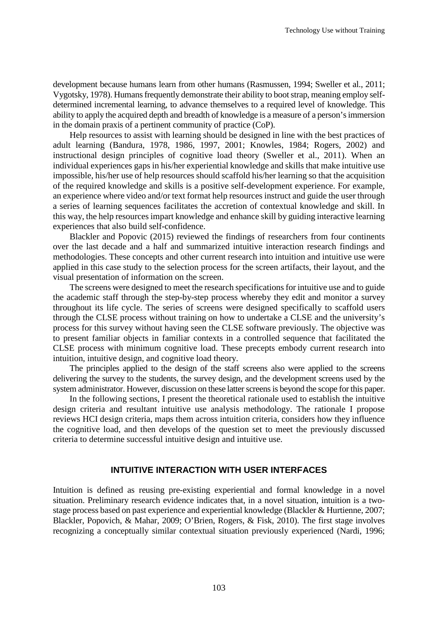development because humans learn from other humans (Rasmussen, 1994; Sweller et al., 2011; Vygotsky, 1978). Humans frequently demonstrate their ability to boot strap, meaning employ selfdetermined incremental learning, to advance themselves to a required level of knowledge. This ability to apply the acquired depth and breadth of knowledge is a measure of a person's immersion in the domain praxis of a pertinent community of practice (CoP).

Help resources to assist with learning should be designed in line with the best practices of adult learning (Bandura, 1978, 1986, 1997, 2001; Knowles, 1984; Rogers, 2002) and instructional design principles of cognitive load theory (Sweller et al., 2011). When an individual experiences gaps in his/her experiential knowledge and skills that make intuitive use impossible, his/her use of help resources should scaffold his/her learning so that the acquisition of the required knowledge and skills is a positive self-development experience. For example, an experience where video and/or text format help resources instruct and guide the user through a series of learning sequences facilitates the accretion of contextual knowledge and skill. In this way, the help resources impart knowledge and enhance skill by guiding interactive learning experiences that also build self-confidence.

Blackler and Popovic (2015) reviewed the findings of researchers from four continents over the last decade and a half and summarized intuitive interaction research findings and methodologies. These concepts and other current research into intuition and intuitive use were applied in this case study to the selection process for the screen artifacts, their layout, and the visual presentation of information on the screen.

The screens were designed to meet the research specifications for intuitive use and to guide the academic staff through the step-by-step process whereby they edit and monitor a survey throughout its life cycle. The series of screens were designed specifically to scaffold users through the CLSE process without training on how to undertake a CLSE and the university's process for this survey without having seen the CLSE software previously. The objective was to present familiar objects in familiar contexts in a controlled sequence that facilitated the CLSE process with minimum cognitive load. These precepts embody current research into intuition, intuitive design, and cognitive load theory.

The principles applied to the design of the staff screens also were applied to the screens delivering the survey to the students, the survey design, and the development screens used by the system administrator. However, discussion on these latter screens is beyond the scope for this paper.

In the following sections, I present the theoretical rationale used to establish the intuitive design criteria and resultant intuitive use analysis methodology. The rationale I propose reviews HCI design criteria, maps them across intuition criteria, considers how they influence the cognitive load, and then develops of the question set to meet the previously discussed criteria to determine successful intuitive design and intuitive use.

### **INTUITIVE INTERACTION WITH USER INTERFACES**

Intuition is defined as reusing pre-existing experiential and formal knowledge in a novel situation. Preliminary research evidence indicates that, in a novel situation, intuition is a twostage process based on past experience and experiential knowledge (Blackler & Hurtienne, 2007; Blackler, Popovich, & Mahar, 2009; O'Brien, Rogers, & Fisk, 2010). The first stage involves recognizing a conceptually similar contextual situation previously experienced (Nardi, 1996;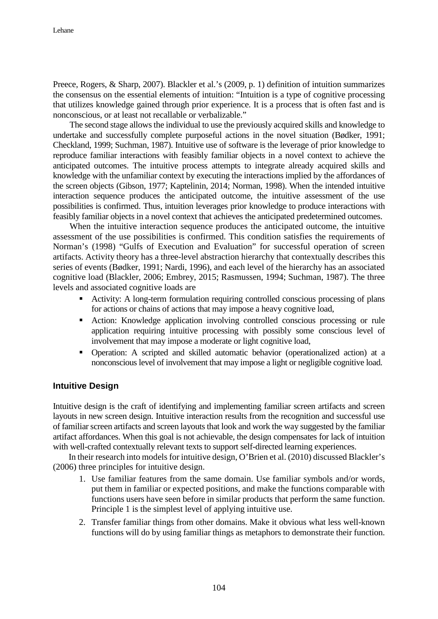Preece, Rogers, & Sharp, 2007). Blackler et al.'s (2009, p. 1) definition of intuition summarizes the consensus on the essential elements of intuition: "Intuition is a type of cognitive processing that utilizes knowledge gained through prior experience. It is a process that is often fast and is nonconscious, or at least not recallable or verbalizable."

The second stage allows the individual to use the previously acquired skills and knowledge to undertake and successfully complete purposeful actions in the novel situation (Bødker, 1991; Checkland, 1999; Suchman, 1987). Intuitive use of software is the leverage of prior knowledge to reproduce familiar interactions with feasibly familiar objects in a novel context to achieve the anticipated outcomes. The intuitive process attempts to integrate already acquired skills and knowledge with the unfamiliar context by executing the interactions implied by the affordances of the screen objects (Gibson, 1977; Kaptelinin, 2014; Norman, 1998). When the intended intuitive interaction sequence produces the anticipated outcome, the intuitive assessment of the use possibilities is confirmed. Thus, intuition leverages prior knowledge to produce interactions with feasibly familiar objects in a novel context that achieves the anticipated predetermined outcomes.

When the intuitive interaction sequence produces the anticipated outcome, the intuitive assessment of the use possibilities is confirmed. This condition satisfies the requirements of Norman's (1998) "Gulfs of Execution and Evaluation" for successful operation of screen artifacts. Activity theory has a three-level abstraction hierarchy that contextually describes this series of events (Bødker, 1991; Nardi, 1996), and each level of the hierarchy has an associated cognitive load (Blackler, 2006; Embrey, 2015; Rasmussen, 1994; Suchman, 1987). The three levels and associated cognitive loads are

- Activity: A long-term formulation requiring controlled conscious processing of plans for actions or chains of actions that may impose a heavy cognitive load,
- Action: Knowledge application involving controlled conscious processing or rule application requiring intuitive processing with possibly some conscious level of involvement that may impose a moderate or light cognitive load,
- Operation: A scripted and skilled automatic behavior (operationalized action) at a nonconscious level of involvement that may impose a light or negligible cognitive load.

#### **Intuitive Design**

Intuitive design is the craft of identifying and implementing familiar screen artifacts and screen layouts in new screen design. Intuitive interaction results from the recognition and successful use of familiar screen artifacts and screen layouts that look and work the way suggested by the familiar artifact affordances. When this goal is not achievable, the design compensates for lack of intuition with well-crafted contextually relevant texts to support self-directed learning experiences.

In their research into models for intuitive design, O'Brien et al. (2010) discussed Blackler's (2006) three principles for intuitive design.

- 1. Use familiar features from the same domain. Use familiar symbols and/or words, put them in familiar or expected positions, and make the functions comparable with functions users have seen before in similar products that perform the same function. Principle 1 is the simplest level of applying intuitive use.
- 2. Transfer familiar things from other domains. Make it obvious what less well-known functions will do by using familiar things as metaphors to demonstrate their function.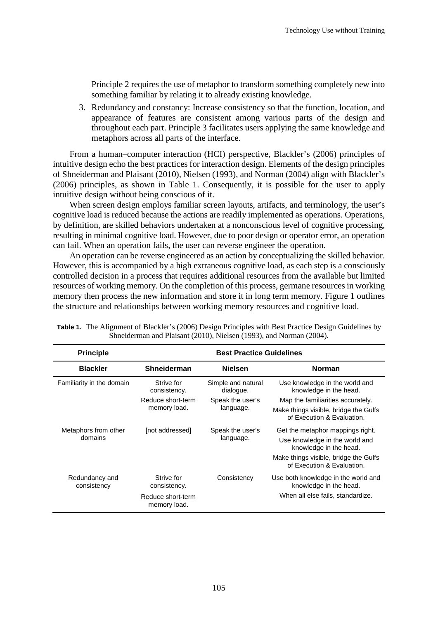Principle 2 requires the use of metaphor to transform something completely new into something familiar by relating it to already existing knowledge.

3. Redundancy and constancy: Increase consistency so that the function, location, and appearance of features are consistent among various parts of the design and throughout each part. Principle 3 facilitates users applying the same knowledge and metaphors across all parts of the interface.

From a human–computer interaction (HCI) perspective, Blackler's (2006) principles of intuitive design echo the best practices for interaction design. Elements of the design principles of Shneiderman and Plaisant (2010), Nielsen (1993), and Norman (2004) align with Blackler's (2006) principles, as shown in Table 1. Consequently, it is possible for the user to apply intuitive design without being conscious of it.

When screen design employs familiar screen layouts, artifacts, and terminology, the user's cognitive load is reduced because the actions are readily implemented as operations. Operations, by definition, are skilled behaviors undertaken at a nonconscious level of cognitive processing, resulting in minimal cognitive load. However, due to poor design or operator error, an operation can fail. When an operation fails, the user can reverse engineer the operation.

An operation can be reverse engineered as an action by conceptualizing the skilled behavior. However, this is accompanied by a high extraneous cognitive load, as each step is a consciously controlled decision in a process that requires additional resources from the available but limited resources of working memory. On the completion of this process, germane resources in working memory then process the new information and store it in long term memory. Figure 1 outlines the structure and relationships between working memory resources and cognitive load.

| <b>Principle</b>              | <b>Best Practice Guidelines</b>   |                                 |                                                                     |
|-------------------------------|-----------------------------------|---------------------------------|---------------------------------------------------------------------|
| <b>Blackler</b>               | Shneiderman                       | <b>Nielsen</b>                  | <b>Norman</b>                                                       |
| Familiarity in the domain     | Strive for<br>consistency.        | Simple and natural<br>dialogue. | Use knowledge in the world and<br>knowledge in the head.            |
|                               | Reduce short-term                 | Speak the user's                | Map the familiarities accurately.                                   |
|                               | memory load.                      | language.                       | Make things visible, bridge the Gulfs<br>of Execution & Evaluation. |
| Metaphors from other          | [not addressed]                   | Speak the user's                | Get the metaphor mappings right.                                    |
| domains                       |                                   | language.                       | Use knowledge in the world and<br>knowledge in the head.            |
|                               |                                   |                                 | Make things visible, bridge the Gulfs<br>of Execution & Evaluation. |
| Redundancy and<br>consistency | Strive for<br>consistency.        | Consistency                     | Use both knowledge in the world and<br>knowledge in the head.       |
|                               | Reduce short-term<br>memory load. |                                 | When all else fails, standardize.                                   |

| <b>Table 1.</b> The Alignment of Blackler's (2006) Design Principles with Best Practice Design Guidelines by |  |
|--------------------------------------------------------------------------------------------------------------|--|
| Shneiderman and Plaisant (2010), Nielsen (1993), and Norman (2004).                                          |  |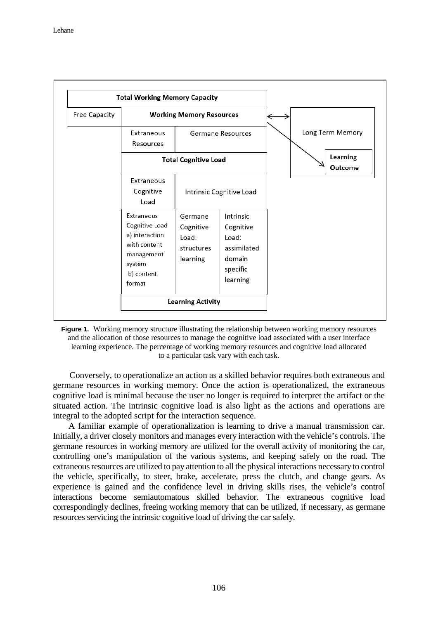|                      | <b>Total Working Memory Capacity</b>                                                                           |                                                         |                                                                                  |  |                            |                  |
|----------------------|----------------------------------------------------------------------------------------------------------------|---------------------------------------------------------|----------------------------------------------------------------------------------|--|----------------------------|------------------|
| <b>Free Capacity</b> |                                                                                                                | <b>Working Memory Resources</b>                         |                                                                                  |  |                            |                  |
|                      | Extraneous<br>Resources                                                                                        |                                                         | Germane Resources                                                                |  |                            | Long Term Memory |
|                      |                                                                                                                | <b>Total Cognitive Load</b>                             |                                                                                  |  | <b>Learning</b><br>Outcome |                  |
|                      | Extraneous<br>Cognitive<br>Load                                                                                |                                                         | Intrinsic Cognitive Load                                                         |  |                            |                  |
|                      | Extraneous<br>Cognitive Load<br>a) interaction<br>with content<br>management<br>system<br>b) content<br>format | Germane<br>Cognitive<br>Load:<br>structures<br>learning | Intrinsic<br>Cognitive<br>Load:<br>assimilated<br>domain<br>specific<br>learning |  |                            |                  |
|                      |                                                                                                                | <b>Learning Activity</b>                                |                                                                                  |  |                            |                  |



Conversely, to operationalize an action as a skilled behavior requires both extraneous and germane resources in working memory. Once the action is operationalized, the extraneous cognitive load is minimal because the user no longer is required to interpret the artifact or the situated action. The intrinsic cognitive load is also light as the actions and operations are integral to the adopted script for the interaction sequence.

A familiar example of operationalization is learning to drive a manual transmission car. Initially, a driver closely monitors and manages every interaction with the vehicle's controls. The germane resources in working memory are utilized for the overall activity of monitoring the car, controlling one's manipulation of the various systems, and keeping safely on the road. The extraneous resources are utilized to pay attention to all the physical interactions necessary to control the vehicle, specifically, to steer, brake, accelerate, press the clutch, and change gears. As experience is gained and the confidence level in driving skills rises, the vehicle's control interactions become semiautomatous skilled behavior. The extraneous cognitive load correspondingly declines, freeing working memory that can be utilized, if necessary, as germane resources servicing the intrinsic cognitive load of driving the car safely.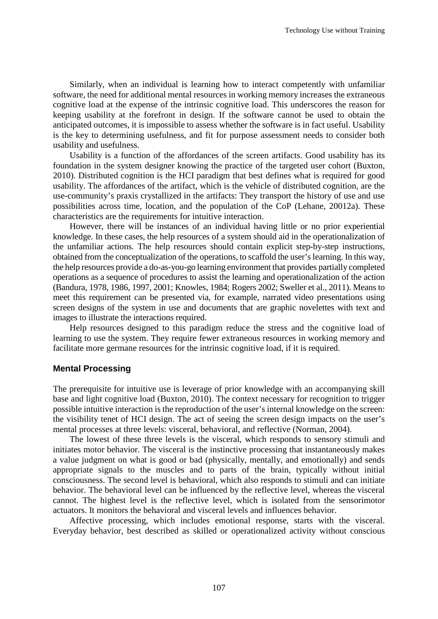Similarly, when an individual is learning how to interact competently with unfamiliar software, the need for additional mental resources in working memory increases the extraneous cognitive load at the expense of the intrinsic cognitive load. This underscores the reason for keeping usability at the forefront in design. If the software cannot be used to obtain the anticipated outcomes, it is impossible to assess whether the software is in fact useful. Usability is the key to determining usefulness, and fit for purpose assessment needs to consider both usability and usefulness.

Usability is a function of the affordances of the screen artifacts. Good usability has its foundation in the system designer knowing the practice of the targeted user cohort (Buxton, 2010). Distributed cognition is the HCI paradigm that best defines what is required for good usability. The affordances of the artifact, which is the vehicle of distributed cognition, are the use-community's praxis crystallized in the artifacts: They transport the history of use and use possibilities across time, location, and the population of the CoP (Lehane, 20012a). These characteristics are the requirements for intuitive interaction.

However, there will be instances of an individual having little or no prior experiential knowledge. In these cases, the help resources of a system should aid in the operationalization of the unfamiliar actions. The help resources should contain explicit step-by-step instructions, obtained from the conceptualization of the operations, to scaffold the user's learning. In this way, the help resources provide a do-as-you-go learning environment that provides partially completed operations as a sequence of procedures to assist the learning and operationalization of the action (Bandura, 1978, 1986, 1997, 2001; Knowles, 1984; Rogers 2002; Sweller et al., 2011). Means to meet this requirement can be presented via, for example, narrated video presentations using screen designs of the system in use and documents that are graphic novelettes with text and images to illustrate the interactions required.

Help resources designed to this paradigm reduce the stress and the cognitive load of learning to use the system. They require fewer extraneous resources in working memory and facilitate more germane resources for the intrinsic cognitive load, if it is required.

#### **Mental Processing**

The prerequisite for intuitive use is leverage of prior knowledge with an accompanying skill base and light cognitive load (Buxton, 2010). The context necessary for recognition to trigger possible intuitive interaction is the reproduction of the user's internal knowledge on the screen: the visibility tenet of HCI design. The act of seeing the screen design impacts on the user's mental processes at three levels: visceral, behavioral, and reflective (Norman, 2004).

The lowest of these three levels is the visceral, which responds to sensory stimuli and initiates motor behavior. The visceral is the instinctive processing that instantaneously makes a value judgment on what is good or bad (physically, mentally, and emotionally) and sends appropriate signals to the muscles and to parts of the brain, typically without initial consciousness. The second level is behavioral, which also responds to stimuli and can initiate behavior. The behavioral level can be influenced by the reflective level, whereas the visceral cannot. The highest level is the reflective level, which is isolated from the sensorimotor actuators. It monitors the behavioral and visceral levels and influences behavior.

Affective processing, which includes emotional response, starts with the visceral. Everyday behavior, best described as skilled or operationalized activity without conscious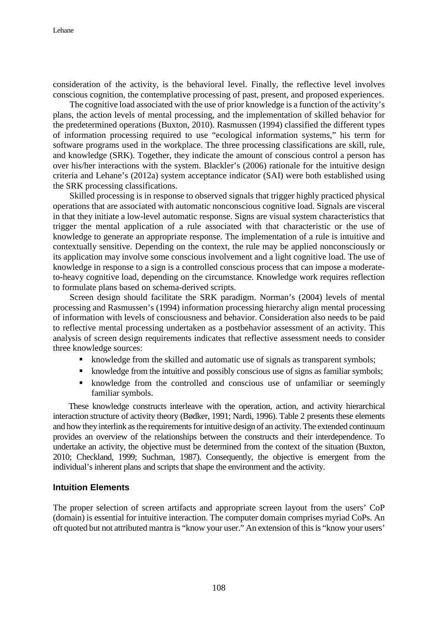consideration of the activity, is the behavioral level. Finally, the reflective level involves conscious cognition, the contemplative processing of past, present, and proposed experiences.

The cognitive load associated with the use of prior knowledge is a function of the activity's plans, the action levels of mental processing, and the implementation of skilled behavior for the predetermined operations (Buxton, 2010). Rasmussen (1994) classified the different types of information processing required to use "ecological information systems," his term for software programs used in the workplace. The three processing classifications are skill, rule, and knowledge (SRK). Together, they indicate the amount of conscious control a person has over his/her interactions with the system. Blackler's (2006) rationale for the intuitive design criteria and Lehane's (2012a) system acceptance indicator (SAI) were both established using the SRK processing classifications.

Skilled processing is in response to observed signals that trigger highly practiced physical operations that are associated with automatic nonconscious cognitive load. Signals are visceral in that they initiate a low-level automatic response. Signs are visual system characteristics that trigger the mental application of a rule associated with that characteristic or the use of knowledge to generate an appropriate response. The implementation of a rule is intuitive and contextually sensitive. Depending on the context, the rule may be applied nonconsciously or its application may involve some conscious involvement and a light cognitive load. The use of knowledge in response to a sign is a controlled conscious process that can impose a moderateto-heavy cognitive load, depending on the circumstance. Knowledge work requires reflection to formulate plans based on schema-derived scripts.

Screen design should facilitate the SRK paradigm. Norman's (2004) levels of mental processing and Rasmussen's (1994) information processing hierarchy align mental processing of information with levels of consciousness and behavior. Consideration also needs to be paid to reflective mental processing undertaken as a postbehavior assessment of an activity. This analysis of screen design requirements indicates that reflective assessment needs to consider three knowledge sources:

- knowledge from the skilled and automatic use of signals as transparent symbols;
- knowledge from the intuitive and possibly conscious use of signs as familiar symbols;
- knowledge from the controlled and conscious use of unfamiliar or seemingly familiar symbols.

These knowledge constructs interleave with the operation, action, and activity hierarchical interaction structure of activity theory (Bødker, 1991; Nardi, 1996). Table 2 presents these elements and how they interlink as the requirements for intuitive design of an activity. The extended continuum provides an overview of the relationships between the constructs and their interdependence. To undertake an activity, the objective must be determined from the context of the situation (Buxton, 2010; Checkland, 1999; Suchman, 1987). Consequently, the objective is emergent from the individual's inherent plans and scripts that shape the environment and the activity.

#### **Intuition Elements**

The proper selection of screen artifacts and appropriate screen layout from the users' CoP (domain) is essential for intuitive interaction. The computer domain comprises myriad CoPs. An oft quoted but not attributed mantra is "know your user." An extension of this is "know your users'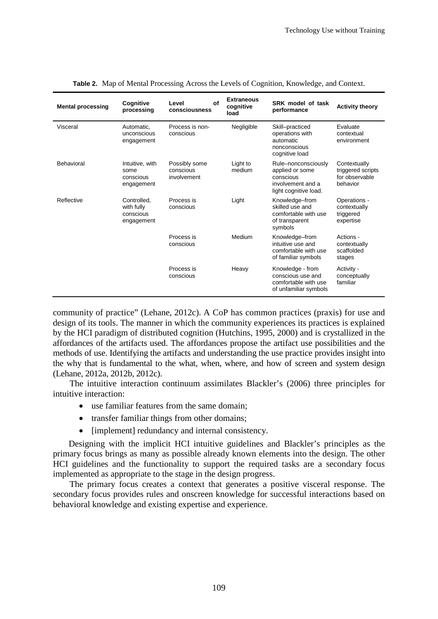| <b>Mental processing</b> | Cognitive<br>processing                              | Οf<br>Level<br>consciousness              | <b>Extraneous</b><br>cognitive<br>load | SRK model of task<br>performance                                                                  | <b>Activity theory</b>                                          |
|--------------------------|------------------------------------------------------|-------------------------------------------|----------------------------------------|---------------------------------------------------------------------------------------------------|-----------------------------------------------------------------|
| Visceral                 | Automatic,<br>unconscious<br>engagement              | Process is non-<br>conscious              | Negligible                             | Skill-practiced<br>operations with<br>automatic<br>nonconscious<br>cognitive load                 | Evaluate<br>contextual<br>environment                           |
| Behavioral               | Intuitive, with<br>some<br>conscious<br>engagement   | Possibly some<br>conscious<br>involvement | Light to<br>medium                     | Rule-nonconsciously<br>applied or some<br>conscious<br>involvement and a<br>light cognitive load. | Contextually<br>triggered scripts<br>for observable<br>behavior |
| Reflective               | Controlled,<br>with fully<br>conscious<br>engagement | Process is<br>conscious                   | Light                                  | Knowledge-from<br>skilled use and<br>comfortable with use<br>of transparent<br>symbols            | Operations -<br>contextually<br>triggered<br>expertise          |
|                          |                                                      | Process is<br>conscious                   | Medium                                 | Knowledge-from<br>intuitive use and<br>comfortable with use<br>of familiar symbols                | Actions -<br>contextually<br>scaffolded<br>stages               |
|                          |                                                      | Process is<br>conscious                   | Heavy                                  | Knowledge - from<br>conscious use and<br>comfortable with use<br>of unfamiliar symbols            | Activity -<br>conceptually<br>familiar                          |

community of practice" (Lehane, 2012c). A CoP has common practices (praxis) for use and design of its tools. The manner in which the community experiences its practices is explained by the HCI paradigm of distributed cognition (Hutchins, 1995, 2000) and is crystallized in the affordances of the artifacts used. The affordances propose the artifact use possibilities and the methods of use. Identifying the artifacts and understanding the use practice provides insight into the why that is fundamental to the what, when, where, and how of screen and system design (Lehane, 2012a, 2012b, 2012c).

The intuitive interaction continuum assimilates Blackler's (2006) three principles for intuitive interaction:

- use familiar features from the same domain;
- transfer familiar things from other domains;
- [implement] redundancy and internal consistency.

Designing with the implicit HCI intuitive guidelines and Blackler's principles as the primary focus brings as many as possible already known elements into the design. The other HCI guidelines and the functionality to support the required tasks are a secondary focus implemented as appropriate to the stage in the design progress.

The primary focus creates a context that generates a positive visceral response. The secondary focus provides rules and onscreen knowledge for successful interactions based on behavioral knowledge and existing expertise and experience.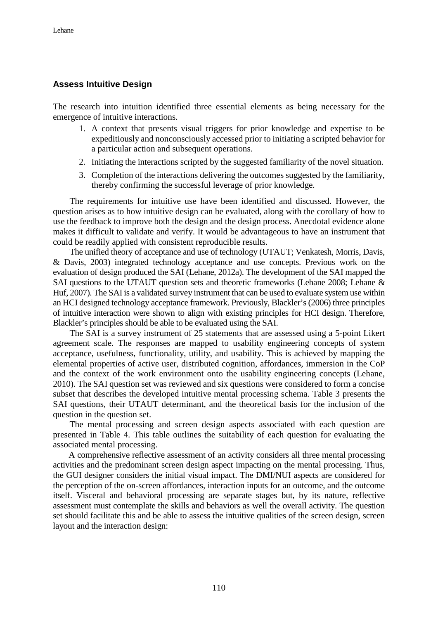### **Assess Intuitive Design**

The research into intuition identified three essential elements as being necessary for the emergence of intuitive interactions.

- 1. A context that presents visual triggers for prior knowledge and expertise to be expeditiously and nonconsciously accessed prior to initiating a scripted behavior for a particular action and subsequent operations.
- 2. Initiating the interactions scripted by the suggested familiarity of the novel situation.
- 3. Completion of the interactions delivering the outcomes suggested by the familiarity, thereby confirming the successful leverage of prior knowledge.

The requirements for intuitive use have been identified and discussed. However, the question arises as to how intuitive design can be evaluated, along with the corollary of how to use the feedback to improve both the design and the design process. Anecdotal evidence alone makes it difficult to validate and verify. It would be advantageous to have an instrument that could be readily applied with consistent reproducible results.

The unified theory of acceptance and use of technology (UTAUT; Venkatesh, Morris, Davis, & Davis, 2003) integrated technology acceptance and use concepts. Previous work on the evaluation of design produced the SAI (Lehane, 2012a). The development of the SAI mapped the SAI questions to the UTAUT question sets and theoretic frameworks (Lehane 2008; Lehane & Huf, 2007). The SAI is a validated survey instrument that can be used to evaluate system use within an HCI designed technology acceptance framework. Previously, Blackler's (2006) three principles of intuitive interaction were shown to align with existing principles for HCI design. Therefore, Blackler's principles should be able to be evaluated using the SAI.

The SAI is a survey instrument of 25 statements that are assessed using a 5-point Likert agreement scale. The responses are mapped to usability engineering concepts of system acceptance, usefulness, functionality, utility, and usability. This is achieved by mapping the elemental properties of active user, distributed cognition, affordances, immersion in the CoP and the context of the work environment onto the usability engineering concepts (Lehane, 2010). The SAI question set was reviewed and six questions were considered to form a concise subset that describes the developed intuitive mental processing schema. Table 3 presents the SAI questions, their UTAUT determinant, and the theoretical basis for the inclusion of the question in the question set.

The mental processing and screen design aspects associated with each question are presented in Table 4. This table outlines the suitability of each question for evaluating the associated mental processing.

A comprehensive reflective assessment of an activity considers all three mental processing activities and the predominant screen design aspect impacting on the mental processing. Thus, the GUI designer considers the initial visual impact. The DMI/NUI aspects are considered for the perception of the on-screen affordances, interaction inputs for an outcome, and the outcome itself. Visceral and behavioral processing are separate stages but, by its nature, reflective assessment must contemplate the skills and behaviors as well the overall activity. The question set should facilitate this and be able to assess the intuitive qualities of the screen design, screen layout and the interaction design: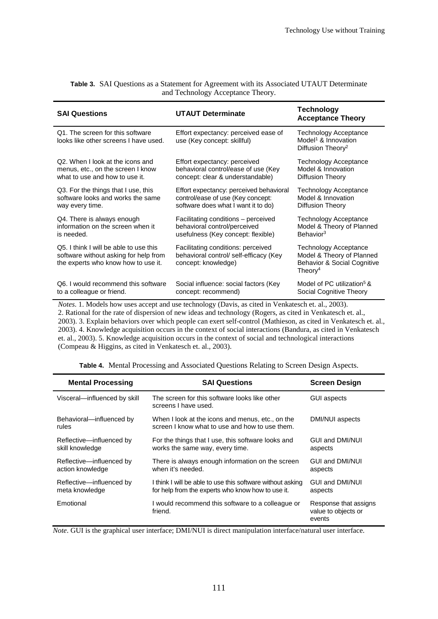| <b>SAI Questions</b>                                                                                                   | <b>UTAUT Determinate</b>                                                                            | Technology<br><b>Acceptance Theory</b>                                                                      |
|------------------------------------------------------------------------------------------------------------------------|-----------------------------------------------------------------------------------------------------|-------------------------------------------------------------------------------------------------------------|
| Q1. The screen for this software<br>looks like other screens I have used.                                              | Effort expectancy: perceived ease of<br>use (Key concept: skillful)                                 | <b>Technology Acceptance</b><br>Model <sup>1</sup> & Innovation<br>Diffusion Theory <sup>2</sup>            |
| Q2. When I look at the icons and                                                                                       | Effort expectancy: perceived                                                                        | <b>Technology Acceptance</b>                                                                                |
| menus, etc., on the screen I know                                                                                      | behavioral control/ease of use (Key                                                                 | Model & Innovation                                                                                          |
| what to use and how to use it.                                                                                         | concept: clear & understandable)                                                                    | Diffusion Theory                                                                                            |
| Q3. For the things that I use, this                                                                                    | Effort expectancy: perceived behavioral                                                             | <b>Technology Acceptance</b>                                                                                |
| software looks and works the same                                                                                      | control/ease of use (Key concept:                                                                   | Model & Innovation                                                                                          |
| way every time.                                                                                                        | software does what I want it to do)                                                                 | Diffusion Theory                                                                                            |
| Q4. There is always enough                                                                                             | Facilitating conditions - perceived                                                                 | <b>Technology Acceptance</b>                                                                                |
| information on the screen when it                                                                                      | behavioral control/perceived                                                                        | Model & Theory of Planned                                                                                   |
| is needed.                                                                                                             | usefulness (Key concept: flexible)                                                                  | Behavior <sup>3</sup>                                                                                       |
| Q5. I think I will be able to use this<br>software without asking for help from<br>the experts who know how to use it. | Facilitating conditions: perceived<br>behavioral control/ self-efficacy (Key<br>concept: knowledge) | <b>Technology Acceptance</b><br>Model & Theory of Planned<br>Behavior & Social Cognitive<br>Theory $\rm ^4$ |
| Q6. I would recommend this software                                                                                    | Social influence: social factors (Key                                                               | Model of PC utilization <sup>5</sup> &                                                                      |
| to a colleague or friend.                                                                                              | concept: recommend)                                                                                 | Social Cognitive Theory                                                                                     |
|                                                                                                                        | Notes 1 Models how uses accent and use technology (Davis, as cited in Venkatesch et al. 2003)       |                                                                                                             |

| <b>Table 3.</b> SAI Questions as a Statement for Agreement with its Associated UTAUT Determinate |
|--------------------------------------------------------------------------------------------------|
| and Technology Acceptance Theory.                                                                |

*Notes*. 1. Models how uses accept and use technology (Davis, as cited in Venkatesch et. al., 2003). 2. Rational for the rate of dispersion of new ideas and technology (Rogers, as cited in Venkatesch et. al., 2003). 3. Explain behaviors over which people can exert self-control (Mathieson, as cited in Venkatesch et. al., 2003). 4. Knowledge acquisition occurs in the context of social interactions (Bandura, as cited in Venkatesch et. al., 2003). 5. Knowledge acquisition occurs in the context of social and technological interactions (Compeau & Higgins, as cited in Venkatesch et. al., 2003).

| <b>Mental Processing</b>                     | <b>SAI Questions</b>                                                                                            | <b>Screen Design</b>                                   |
|----------------------------------------------|-----------------------------------------------------------------------------------------------------------------|--------------------------------------------------------|
| Visceral-influenced by skill                 | The screen for this software looks like other<br>screens I have used.                                           | <b>GUI aspects</b>                                     |
| Behavioral-influenced by<br>rules            | When I look at the icons and menus, etc., on the<br>screen I know what to use and how to use them.              | DMI/NUI aspects                                        |
| Reflective—influenced by<br>skill knowledge  | For the things that I use, this software looks and<br>works the same way, every time.                           | GUI and DMI/NUI<br>aspects                             |
| Reflective-influenced by<br>action knowledge | There is always enough information on the screen<br>when it's needed.                                           | GUI and DMI/NUI<br>aspects                             |
| Reflective—influenced by<br>meta knowledge   | I think I will be able to use this software without asking<br>for help from the experts who know how to use it. | GUI and DMI/NUI<br>aspects                             |
| Emotional                                    | I would recommend this software to a colleague or<br>friend.                                                    | Response that assigns<br>value to objects or<br>events |

**Table 4.** Mental Processing and Associated Questions Relating to Screen Design Aspects.

*Note*. GUI is the graphical user interface; DMI/NUI is direct manipulation interface/natural user interface.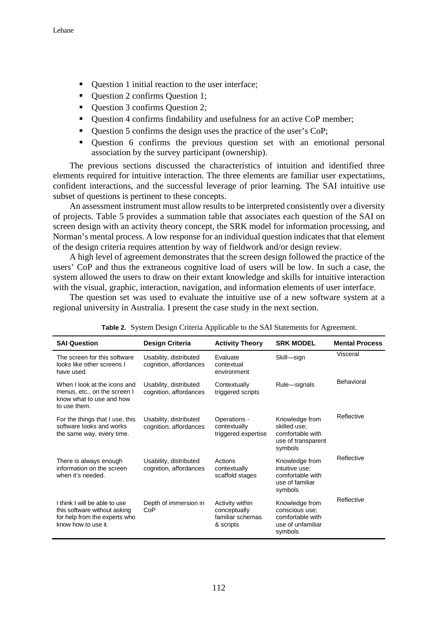- Question 1 initial reaction to the user interface;
- Ouestion 2 confirms Question 1;
- Ouestion 3 confirms Question 2;
- Question 4 confirms findability and usefulness for an active CoP member;
- Question 5 confirms the design uses the practice of the user's CoP;
- Question 6 confirms the previous question set with an emotional personal association by the survey participant (ownership).

The previous sections discussed the characteristics of intuition and identified three elements required for intuitive interaction. The three elements are familiar user expectations, confident interactions, and the successful leverage of prior learning. The SAI intuitive use subset of questions is pertinent to these concepts.

An assessment instrument must allow results to be interpreted consistently over a diversity of projects. Table 5 provides a summation table that associates each question of the SAI on screen design with an activity theory concept, the SRK model for information processing, and Norman's mental process. A low response for an individual question indicates that that element of the design criteria requires attention by way of fieldwork and/or design review.

A high level of agreement demonstrates that the screen design followed the practice of the users' CoP and thus the extraneous cognitive load of users will be low. In such a case, the system allowed the users to draw on their extant knowledge and skills for intuitive interaction with the visual, graphic, interaction, navigation, and information elements of user interface.

The question set was used to evaluate the intuitive use of a new software system at a regional university in Australia. I present the case study in the next section.

| <b>SAI Question</b>                                                                                                   | Design Criteria                                  | <b>Activity Theory</b>                                           | <b>SRK MODEL</b>                                                                     | <b>Mental Process</b> |
|-----------------------------------------------------------------------------------------------------------------------|--------------------------------------------------|------------------------------------------------------------------|--------------------------------------------------------------------------------------|-----------------------|
| The screen for this software<br>looks like other screens I<br>have used.                                              | Usability, distributed<br>cognition, affordances | Evaluate<br>contextual<br>environment                            | Skill-sign                                                                           | Visceral              |
| When I look at the icons and<br>menus, etc., on the screen I<br>know what to use and how<br>to use them.              | Usability, distributed<br>cognition, affordances | Contextually<br>triggered scripts                                | Rule-signals                                                                         | Behavioral            |
| For the things that I use, this<br>software looks and works<br>the same way, every time.                              | Usability, distributed<br>cognition, affordances | Operations -<br>contextually<br>triggered expertise              | Knowledge from<br>skilled use:<br>comfortable with<br>use of transparent<br>symbols  | Reflective            |
| There is always enough<br>information on the screen<br>when it's needed.                                              | Usability, distributed<br>cognition, affordances | Actions<br>contextually<br>scaffold stages                       | Knowledge from<br>intuitive use;<br>comfortable with<br>use of familiar<br>symbols   | Reflective            |
| I think I will be able to use<br>this software without asking<br>for help from the experts who<br>know how to use it. | Depth of immersion in<br>CoP                     | Activity within<br>conceptually<br>familiar schemas<br>& scripts | Knowledge from<br>conscious use;<br>comfortable with<br>use of unfamiliar<br>symbols | Reflective            |

**Table 2.** System Design Criteria Applicable to the SAI Statements for Agreement.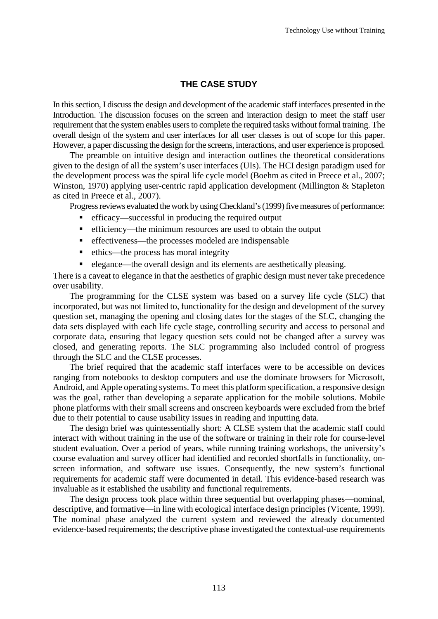## **THE CASE STUDY**

In this section, I discuss the design and development of the academic staff interfaces presented in the Introduction. The discussion focuses on the screen and interaction design to meet the staff user requirement that the system enables users to complete the required tasks without formal training. The overall design of the system and user interfaces for all user classes is out of scope for this paper. However, a paper discussing the design for the screens, interactions, and user experience is proposed.

The preamble on intuitive design and interaction outlines the theoretical considerations given to the design of all the system's user interfaces (UIs). The HCI design paradigm used for the development process was the spiral life cycle model (Boehm as cited in Preece et al., 2007; Winston, 1970) applying user-centric rapid application development (Millington & Stapleton as cited in Preece et al., 2007).

Progress reviews evaluated the work by using Checkland's (1999) five measures of performance:

- efficacy—successful in producing the required output
- efficiency—the minimum resources are used to obtain the output
- effectiveness—the processes modeled are indispensable
- ethics—the process has moral integrity
- elegance—the overall design and its elements are aesthetically pleasing.

There is a caveat to elegance in that the aesthetics of graphic design must never take precedence over usability.

The programming for the CLSE system was based on a survey life cycle (SLC) that incorporated, but was not limited to, functionality for the design and development of the survey question set, managing the opening and closing dates for the stages of the SLC, changing the data sets displayed with each life cycle stage, controlling security and access to personal and corporate data, ensuring that legacy question sets could not be changed after a survey was closed, and generating reports. The SLC programming also included control of progress through the SLC and the CLSE processes.

The brief required that the academic staff interfaces were to be accessible on devices ranging from notebooks to desktop computers and use the dominate browsers for Microsoft, Android, and Apple operating systems. To meet this platform specification, a responsive design was the goal, rather than developing a separate application for the mobile solutions. Mobile phone platforms with their small screens and onscreen keyboards were excluded from the brief due to their potential to cause usability issues in reading and inputting data.

The design brief was quintessentially short: A CLSE system that the academic staff could interact with without training in the use of the software or training in their role for course-level student evaluation. Over a period of years, while running training workshops, the university's course evaluation and survey officer had identified and recorded shortfalls in functionality, onscreen information, and software use issues. Consequently, the new system's functional requirements for academic staff were documented in detail. This evidence-based research was invaluable as it established the usability and functional requirements.

The design process took place within three sequential but overlapping phases—nominal, descriptive, and formative—in line with ecological interface design principles (Vicente, 1999). The nominal phase analyzed the current system and reviewed the already documented evidence-based requirements; the descriptive phase investigated the contextual-use requirements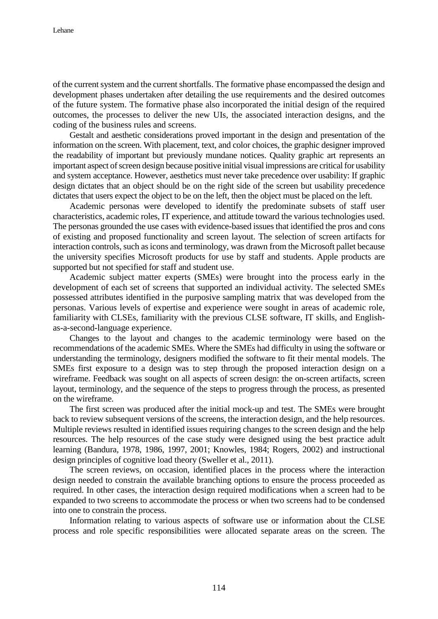of the current system and the current shortfalls. The formative phase encompassed the design and development phases undertaken after detailing the use requirements and the desired outcomes of the future system. The formative phase also incorporated the initial design of the required outcomes, the processes to deliver the new UIs, the associated interaction designs, and the coding of the business rules and screens.

Gestalt and aesthetic considerations proved important in the design and presentation of the information on the screen. With placement, text, and color choices, the graphic designer improved the readability of important but previously mundane notices. Quality graphic art represents an important aspect of screen design because positive initial visual impressions are critical for usability and system acceptance. However, aesthetics must never take precedence over usability: If graphic design dictates that an object should be on the right side of the screen but usability precedence dictates that users expect the object to be on the left, then the object must be placed on the left.

Academic personas were developed to identify the predominate subsets of staff user characteristics, academic roles, IT experience, and attitude toward the various technologies used. The personas grounded the use cases with evidence-based issues that identified the pros and cons of existing and proposed functionality and screen layout. The selection of screen artifacts for interaction controls, such as icons and terminology, was drawn from the Microsoft pallet because the university specifies Microsoft products for use by staff and students. Apple products are supported but not specified for staff and student use.

Academic subject matter experts (SMEs) were brought into the process early in the development of each set of screens that supported an individual activity. The selected SMEs possessed attributes identified in the purposive sampling matrix that was developed from the personas. Various levels of expertise and experience were sought in areas of academic role, familiarity with CLSEs, familiarity with the previous CLSE software, IT skills, and Englishas-a-second-language experience.

Changes to the layout and changes to the academic terminology were based on the recommendations of the academic SMEs. Where the SMEs had difficulty in using the software or understanding the terminology, designers modified the software to fit their mental models. The SMEs first exposure to a design was to step through the proposed interaction design on a wireframe. Feedback was sought on all aspects of screen design: the on-screen artifacts, screen layout, terminology, and the sequence of the steps to progress through the process, as presented on the wireframe.

The first screen was produced after the initial mock-up and test. The SMEs were brought back to review subsequent versions of the screens, the interaction design, and the help resources. Multiple reviews resulted in identified issues requiring changes to the screen design and the help resources. The help resources of the case study were designed using the best practice adult learning (Bandura, 1978, 1986, 1997, 2001; Knowles, 1984; Rogers, 2002) and instructional design principles of cognitive load theory (Sweller et al., 2011).

The screen reviews, on occasion, identified places in the process where the interaction design needed to constrain the available branching options to ensure the process proceeded as required. In other cases, the interaction design required modifications when a screen had to be expanded to two screens to accommodate the process or when two screens had to be condensed into one to constrain the process.

Information relating to various aspects of software use or information about the CLSE process and role specific responsibilities were allocated separate areas on the screen. The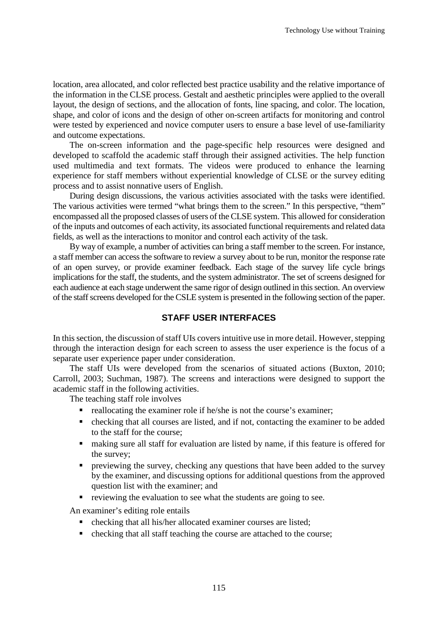location, area allocated, and color reflected best practice usability and the relative importance of the information in the CLSE process. Gestalt and aesthetic principles were applied to the overall layout, the design of sections, and the allocation of fonts, line spacing, and color. The location, shape, and color of icons and the design of other on-screen artifacts for monitoring and control were tested by experienced and novice computer users to ensure a base level of use-familiarity and outcome expectations.

The on-screen information and the page-specific help resources were designed and developed to scaffold the academic staff through their assigned activities. The help function used multimedia and text formats. The videos were produced to enhance the learning experience for staff members without experiential knowledge of CLSE or the survey editing process and to assist nonnative users of English.

During design discussions, the various activities associated with the tasks were identified. The various activities were termed "what brings them to the screen." In this perspective, "them" encompassed all the proposed classes of users of the CLSE system. This allowed for consideration of the inputs and outcomes of each activity, its associated functional requirements and related data fields, as well as the interactions to monitor and control each activity of the task.

By way of example, a number of activities can bring a staff member to the screen. For instance, a staff member can access the software to review a survey about to be run, monitor the response rate of an open survey, or provide examiner feedback. Each stage of the survey life cycle brings implications for the staff, the students, and the system administrator. The set of screens designed for each audience at each stage underwent the same rigor of design outlined in this section. An overview of the staff screens developed for the CSLE system is presented in the following section of the paper.

### **STAFF USER INTERFACES**

In this section, the discussion of staff UIs covers intuitive use in more detail. However, stepping through the interaction design for each screen to assess the user experience is the focus of a separate user experience paper under consideration.

The staff UIs were developed from the scenarios of situated actions (Buxton, 2010; Carroll, 2003; Suchman, 1987). The screens and interactions were designed to support the academic staff in the following activities.

The teaching staff role involves

- $\blacksquare$  reallocating the examiner role if he/she is not the course's examiner;
- checking that all courses are listed, and if not, contacting the examiner to be added to the staff for the course;
- making sure all staff for evaluation are listed by name, if this feature is offered for the survey;
- **PEDRICAL EXECUTE:** previewing the survey, checking any questions that have been added to the survey by the examiner, and discussing options for additional questions from the approved question list with the examiner; and
- reviewing the evaluation to see what the students are going to see.

An examiner's editing role entails

- checking that all his/her allocated examiner courses are listed;
- checking that all staff teaching the course are attached to the course;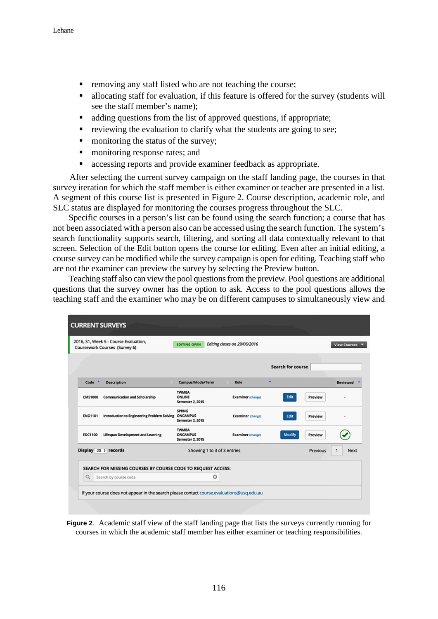- **•** removing any staff listed who are not teaching the course;
- allocating staff for evaluation, if this feature is offered for the survey (students will see the staff member's name);
- adding questions from the list of approved questions, if appropriate;
- $\blacksquare$  reviewing the evaluation to clarify what the students are going to see;
- monitoring the status of the survey;
- **n** monitoring response rates; and
- accessing reports and provide examiner feedback as appropriate.

After selecting the current survey campaign on the staff landing page, the courses in that survey iteration for which the staff member is either examiner or teacher are presented in a list. A segment of this course list is presented in Figure 2. Course description, academic role, and SLC status are displayed for monitoring the courses progress throughout the SLC.

Specific courses in a person's list can be found using the search function; a course that has not been associated with a person also can be accessed using the search function. The system's search functionality supports search, filtering, and sorting all data contextually relevant to that screen. Selection of the Edit button opens the course for editing. Even after an initial editing, a course survey can be modified while the survey campaign is open for editing. Teaching staff who are not the examiner can preview the survey by selecting the Preview button.

Teaching staff also can view the pool questions from the preview. Pool questions are additional questions that the survey owner has the option to ask. Access to the pool questions allows the teaching staff and the examiner who may be on different campuses to simultaneously view and

|                | 2016, S1, Week 5 - Course Evaluation,<br>Coursework Courses (Survey 6) | <b>EDITING OPEN</b>                                        | Editing closes on 29/06/2016 |                          | <b>View Courses</b> |
|----------------|------------------------------------------------------------------------|------------------------------------------------------------|------------------------------|--------------------------|---------------------|
|                |                                                                        |                                                            |                              | <b>Search for course</b> |                     |
| Code           | <b>A</b><br><b>Description</b>                                         | Campus/Mode/Term                                           | Role                         | ٨                        | <b>Reviewed</b>     |
| <b>CMS1000</b> | <b>Communication and Scholarship</b>                                   | <b>TWMBA</b><br>ONLINE<br><b>Semester 2, 2015</b>          | <b>Examiner</b> (change)     | Edit<br>Preview          |                     |
| <b>ENG1101</b> | Introduction to Engineering Problem Solving                            | <b>SPRNG</b><br><b>ONCAMPUS</b><br>Semester 2, 2015        | <b>Examiner</b> (change)     | Edit<br>Preview          |                     |
| <b>EDC1100</b> | Lifespan Development and Learning                                      | <b>TWMBA</b><br><b>ONCAMPUS</b><br><b>Semester 2, 2015</b> | <b>Examiner (change)</b>     | Modify<br>Preview        |                     |
|                | Display 20 + records                                                   | Showing 1 to 3 of 3 entries                                |                              | Previous                 | Next<br>1           |
|                | SEARCH FOR MISSING COURSES BY COURSE CODE TO REQUEST ACCESS:           |                                                            |                              |                          |                     |
| $\alpha$       | Search by course code                                                  | O                                                          |                              |                          |                     |

**Figure 2**. Academic staff view of the staff landing page that lists the surveys currently running for courses in which the academic staff member has either examiner or teaching responsibilities.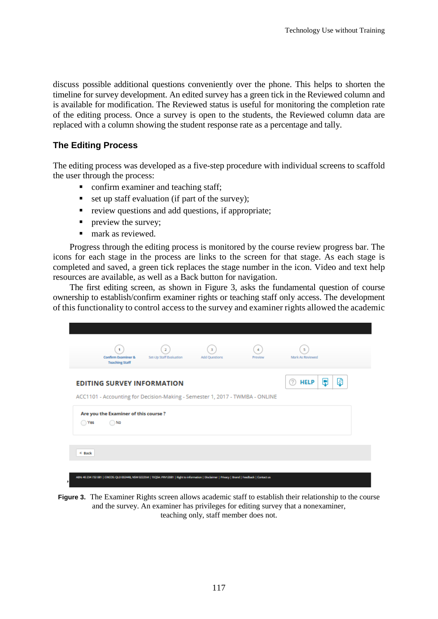discuss possible additional questions conveniently over the phone. This helps to shorten the timeline for survey development. An edited survey has a green tick in the Reviewed column and is available for modification. The Reviewed status is useful for monitoring the completion rate of the editing process. Once a survey is open to the students, the Reviewed column data are replaced with a column showing the student response rate as a percentage and tally.

### **The Editing Process**

The editing process was developed as a five-step procedure with individual screens to scaffold the user through the process:

- confirm examiner and teaching staff;
- $\blacksquare$  set up staff evaluation (if part of the survey);
- **•** review questions and add questions, if appropriate;
- **preview the survey;**
- mark as reviewed.

Progress through the editing process is monitored by the course review progress bar. The icons for each stage in the process are links to the screen for that stage. As each stage is completed and saved, a green tick replaces the stage number in the icon. Video and text help resources are available, as well as a Back button for navigation.

The first editing screen, as shown in Figure 3, asks the fundamental question of course ownership to establish/confirm examiner rights or teaching staff only access. The development of this functionality to control access to the survey and examiner rights allowed the academic



**Figure 3.** The Examiner Rights screen allows academic staff to establish their relationship to the course and the survey. An examiner has privileges for editing survey that a nonexaminer, teaching only, staff member does not.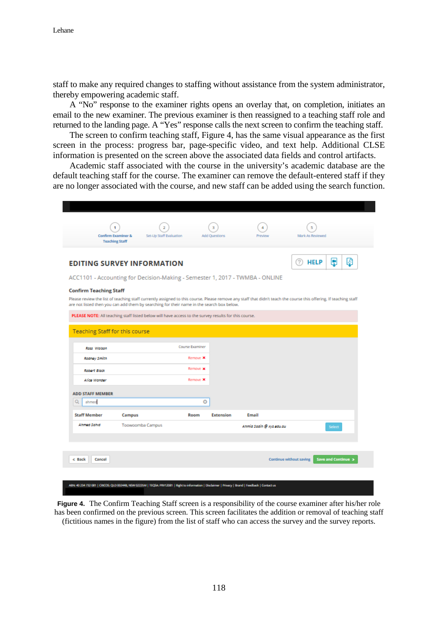staff to make any required changes to staffing without assistance from the system administrator, thereby empowering academic staff.

A "No" response to the examiner rights opens an overlay that, on completion, initiates an email to the new examiner. The previous examiner is then reassigned to a teaching staff role and returned to the landing page. A "Yes" response calls the next screen to confirm the teaching staff.

The screen to confirm teaching staff, Figure 4, has the same visual appearance as the first screen in the process: progress bar, page-specific video, and text help. Additional CLSE information is presented on the screen above the associated data fields and control artifacts.

Academic staff associated with the course in the university's academic database are the default teaching staff for the course. The examiner can remove the default-entered staff if they are no longer associated with the course, and new staff can be added using the search function.

|                                       | Confirm Examiner &<br><b>Teaching Staff</b>                                                                                                                                                                                                                    | Set-Up Staff Evaluation | <b>Add Questions</b> | Preview                  | Mark As Reviewed        |                               |
|---------------------------------------|----------------------------------------------------------------------------------------------------------------------------------------------------------------------------------------------------------------------------------------------------------------|-------------------------|----------------------|--------------------------|-------------------------|-------------------------------|
|                                       | <b>EDITING SURVEY INFORMATION</b>                                                                                                                                                                                                                              |                         |                      |                          | 7<br><b>HELP</b>        | Łã<br>ę                       |
|                                       | ACC1101 - Accounting for Decision-Making - Semester 1, 2017 - TWMBA - ONLINE                                                                                                                                                                                   |                         |                      |                          |                         |                               |
| <b>Confirm Teaching Staff</b>         | Please review the list of teaching staff currently assigned to this course. Please remove any staff that didn't teach the course this offering. If teaching staff<br>are not listed then you can add them by searching for their name in the search box below. |                         |                      |                          |                         |                               |
| <b>Teaching Staff for this course</b> | PLEASE NOTE: All teaching staff listed below will have access to the survey results for this course.                                                                                                                                                           |                         |                      |                          |                         |                               |
| Ross Walson                           |                                                                                                                                                                                                                                                                | <b>Course Examiner</b>  |                      |                          |                         |                               |
| <b>Rodney Smith</b>                   |                                                                                                                                                                                                                                                                | Remove X                |                      |                          |                         |                               |
| Robert Block                          |                                                                                                                                                                                                                                                                | Remove x                |                      |                          |                         |                               |
|                                       |                                                                                                                                                                                                                                                                |                         |                      |                          |                         |                               |
| <b>Alice Wonder</b>                   |                                                                                                                                                                                                                                                                | Remove X                |                      |                          |                         |                               |
| <b>ADD STAFF MEMBER</b><br>Q<br>ahmed |                                                                                                                                                                                                                                                                | ō                       |                      |                          |                         |                               |
| <b>Staff Member</b>                   | Campus                                                                                                                                                                                                                                                         | Room                    | <b>Extension</b>     | Email                    |                         |                               |
| Ahmed Sahid                           | Toowoomba Campus                                                                                                                                                                                                                                               |                         |                      | Ahmid Sadih @ xyz.edu.au |                         | Select                        |
|                                       |                                                                                                                                                                                                                                                                |                         |                      |                          |                         |                               |
| c Back<br>Cancel                      |                                                                                                                                                                                                                                                                |                         |                      |                          | Continue without saving | <b>Save and Continue &gt;</b> |

**Figure 4.** The Confirm Teaching Staff screen is a responsibility of the course examiner after his/her role has been confirmed on the previous screen. This screen facilitates the addition or removal of teaching staff (fictitious names in the figure) from the list of staff who can access the survey and the survey reports.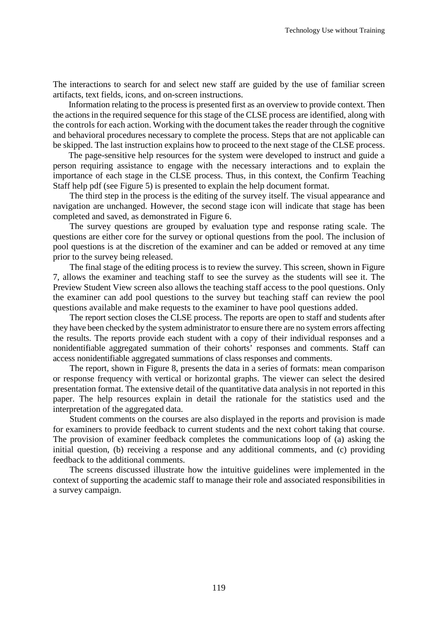The interactions to search for and select new staff are guided by the use of familiar screen artifacts, text fields, icons, and on-screen instructions.

Information relating to the process is presented first as an overview to provide context. Then the actions in the required sequence for this stage of the CLSE process are identified, along with the controls for each action. Working with the document takes the reader through the cognitive and behavioral procedures necessary to complete the process. Steps that are not applicable can be skipped. The last instruction explains how to proceed to the next stage of the CLSE process.

The page-sensitive help resources for the system were developed to instruct and guide a person requiring assistance to engage with the necessary interactions and to explain the importance of each stage in the CLSE process. Thus, in this context, the Confirm Teaching Staff help pdf (see Figure 5) is presented to explain the help document format.

The third step in the process is the editing of the survey itself. The visual appearance and navigation are unchanged. However, the second stage icon will indicate that stage has been completed and saved, as demonstrated in Figure 6.

The survey questions are grouped by evaluation type and response rating scale. The questions are either core for the survey or optional questions from the pool. The inclusion of pool questions is at the discretion of the examiner and can be added or removed at any time prior to the survey being released.

The final stage of the editing process is to review the survey. This screen, shown in Figure 7, allows the examiner and teaching staff to see the survey as the students will see it. The Preview Student View screen also allows the teaching staff access to the pool questions. Only the examiner can add pool questions to the survey but teaching staff can review the pool questions available and make requests to the examiner to have pool questions added.

The report section closes the CLSE process. The reports are open to staff and students after they have been checked by the system administrator to ensure there are no system errors affecting the results. The reports provide each student with a copy of their individual responses and a nonidentifiable aggregated summation of their cohorts' responses and comments. Staff can access nonidentifiable aggregated summations of class responses and comments.

The report, shown in Figure 8, presents the data in a series of formats: mean comparison or response frequency with vertical or horizontal graphs. The viewer can select the desired presentation format. The extensive detail of the quantitative data analysis in not reported in this paper. The help resources explain in detail the rationale for the statistics used and the interpretation of the aggregated data.

Student comments on the courses are also displayed in the reports and provision is made for examiners to provide feedback to current students and the next cohort taking that course. The provision of examiner feedback completes the communications loop of (a) asking the initial question, (b) receiving a response and any additional comments, and (c) providing feedback to the additional comments.

The screens discussed illustrate how the intuitive guidelines were implemented in the context of supporting the academic staff to manage their role and associated responsibilities in a survey campaign.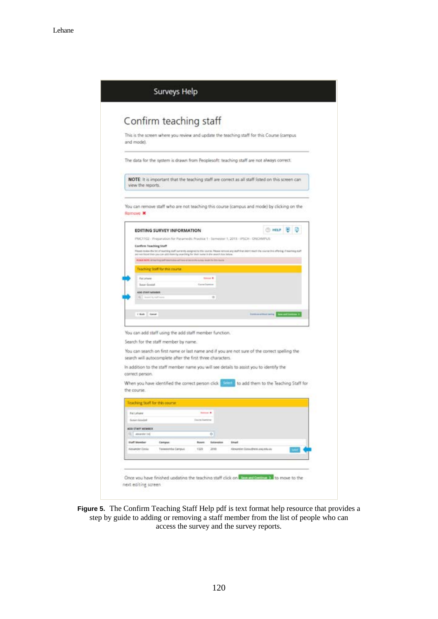| This is the screen where you review and update the teaching staff for this Course (campus<br>and model.                                                                                                                                                        |  |
|----------------------------------------------------------------------------------------------------------------------------------------------------------------------------------------------------------------------------------------------------------------|--|
|                                                                                                                                                                                                                                                                |  |
| The data for the system is drawn from Peoplesoft: teaching staff are not always correct.                                                                                                                                                                       |  |
| NOTE: It is important that the teaching staff are correct as all staff listed on this screen can<br>view the reports.                                                                                                                                          |  |
| You can remove staff who are not teaching this course (campus and mode) by clicking on the<br>Remove X                                                                                                                                                         |  |
| ① HELP 图 D<br>EDITING SURVEY INFORMATION                                                                                                                                                                                                                       |  |
| PMC1102 - Preparation for Paramedic Practice 1 - Semester 1, 2015 - IPSCH - ONCANPUS                                                                                                                                                                           |  |
| <b>Confirm Teaching Staff</b>                                                                                                                                                                                                                                  |  |
| Please novem the list of muscling staff surrently assigned to this course. Please remuve any staff that stort teach the course this offering, if must ing yight<br>any was based then you can allid them by searching for their mome in the search too between |  |
| <b>Cash North active to grow the contract of the attention are surely and in this case</b>                                                                                                                                                                     |  |
| Teaching Staff for this course.                                                                                                                                                                                                                                |  |
| Kat Lehane<br><b>Statistics</b>                                                                                                                                                                                                                                |  |
| Game'hawen<br><b>Butun Greekel</b>                                                                                                                                                                                                                             |  |
| ADD ETAPT MEMBER                                                                                                                                                                                                                                               |  |
| $\equiv$<br>St. L. Sounds by traff                                                                                                                                                                                                                             |  |
|                                                                                                                                                                                                                                                                |  |
| CRAN Great<br>International and Constitution 2                                                                                                                                                                                                                 |  |
|                                                                                                                                                                                                                                                                |  |
| You can add staff using the add staff member function.                                                                                                                                                                                                         |  |
| Search for the staff member by name.                                                                                                                                                                                                                           |  |
| You can search on first name or last name and if you are not sure of the correct spelling the                                                                                                                                                                  |  |
| search will autocomplete after the first three characters.                                                                                                                                                                                                     |  |
| In addition to the staff member name you will see details to assist you to identify the                                                                                                                                                                        |  |
| correct person.                                                                                                                                                                                                                                                |  |
| When you have identified the correct person click to add them to the Teaching Staff for                                                                                                                                                                        |  |
| the course.                                                                                                                                                                                                                                                    |  |
|                                                                                                                                                                                                                                                                |  |
| Teaching Staff for this course.                                                                                                                                                                                                                                |  |
| <b>Pat Lehane</b><br>Antonio M                                                                                                                                                                                                                                 |  |
| <b>Constitution</b><br><b>Susan Goodal</b>                                                                                                                                                                                                                     |  |
| ADD STAFF NICMBER                                                                                                                                                                                                                                              |  |
| [C] - ansarcher (m)<br>o                                                                                                                                                                                                                                       |  |
| <b>Staff Member</b><br><b>Roman</b><br><b>Satawains</b><br><b>Email</b><br>Campus                                                                                                                                                                              |  |
| <b>Nickamder Costas</b><br>Tooseemba Campus<br>Alexander Coloudheat, and educate                                                                                                                                                                               |  |

**Figure 5.** The Confirm Teaching Staff Help pdf is text format help resource that provides a step by guide to adding or removing a staff member from the list of people who can access the survey and the survey reports.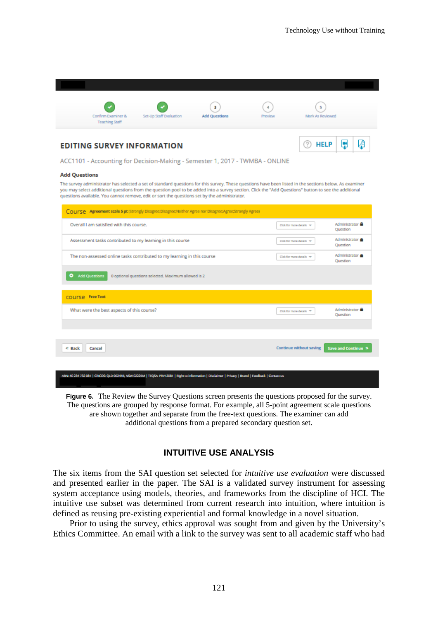

ACC1101 - Accounting for Decision-Making - Semester 1, 2017 - TWMBA - ONLINE

#### **Add Questions**

The survey administrator has selected a set of standard questions for this survey. These questions have been listed in the sections below. As examiner you may select additional questions from the question pool to be added into a survey section. Click the "Add Questions" button to see the additional questions available. You cannot remove, edit or sort the questions set by the administrator.

| COUPSE Agreement scale 5 pt (Strongly Disagree;Disagree;Neither Agree nor Disagree;Agree;Strongly Agree) |                            |                                    |
|----------------------------------------------------------------------------------------------------------|----------------------------|------------------------------------|
| Overall I am satisfied with this course.                                                                 | Click for more details w   | Administrator<br>Question          |
| Assessment tasks contributed to my learning in this course                                               | Click for more details w   | Administrator <b>A</b><br>Question |
| The non-assessed online tasks contributed to my learning in this course                                  | Click for more details - w | Administrator <b>A</b><br>Question |
| <b>Add Questions</b><br>۰<br>0 optional questions selected. Maximum allowed is 2                         |                            |                                    |
| COUITSE Free Text                                                                                        |                            |                                    |
| What were the best aspects of this course?                                                               | Click for more details TV  | Administrator<br>Question          |
|                                                                                                          |                            |                                    |
| ← Back<br>Cancel                                                                                         | Continue without saving    | Save and Continue >                |
|                                                                                                          |                            |                                    |

**Figure 6.** The Review the Survey Questions screen presents the questions proposed for the survey. The questions are grouped by response format. For example, all 5-point agreement scale questions are shown together and separate from the free-text questions. The examiner can add additional questions from a prepared secondary question set.

#### **INTUITIVE USE ANALYSIS**

The six items from the SAI question set selected for *intuitive use evaluation* were discussed and presented earlier in the paper. The SAI is a validated survey instrument for assessing system acceptance using models, theories, and frameworks from the discipline of HCI. The intuitive use subset was determined from current research into intuition, where intuition is defined as reusing pre-existing experiential and formal knowledge in a novel situation.

Prior to using the survey, ethics approval was sought from and given by the University's Ethics Committee. An email with a link to the survey was sent to all academic staff who had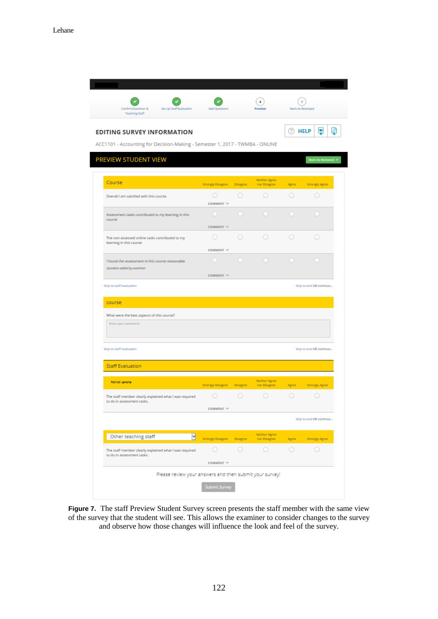

Figure 7. The staff Preview Student Survey screen presents the staff member with the same view of the survey that the student will see. This allows the examiner to consider changes to the survey and observe how those changes will influence the look and feel of the survey.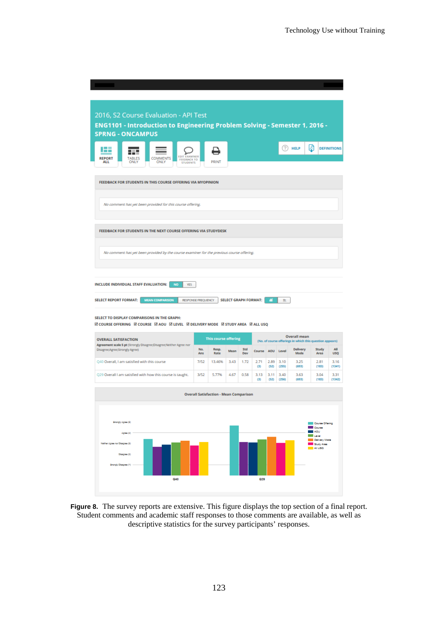| 2016, S2 Course Evaluation - API Test                                                                                                          |                           |                                               |      |                             |                  |              |               |                                                                                 |                                              |                    |
|------------------------------------------------------------------------------------------------------------------------------------------------|---------------------------|-----------------------------------------------|------|-----------------------------|------------------|--------------|---------------|---------------------------------------------------------------------------------|----------------------------------------------|--------------------|
| ENG1101 - Introduction to Engineering Problem Solving - Semester 1, 2016 -                                                                     |                           |                                               |      |                             |                  |              |               |                                                                                 |                                              |                    |
| <b>SPRNG - ONCAMPUS</b>                                                                                                                        |                           |                                               |      |                             |                  |              |               |                                                                                 |                                              |                    |
| Æ<br><b>EDIT EXAMINER</b><br><b>REPORT</b><br><b>TABLES</b><br><b>COMMENTS</b><br><b>FEEDBACK TO</b><br>ONLY<br>ONLY<br>ALL<br><b>STUDENTS</b> |                           | <b>PRINT</b>                                  |      |                             |                  |              | ?)            | <b>HELP</b>                                                                     | Ø                                            | <b>DEFINITIONS</b> |
| FEEDBACK FOR STUDENTS IN THIS COURSE OFFERING VIA MYOPINION                                                                                    |                           |                                               |      |                             |                  |              |               |                                                                                 |                                              |                    |
| No comment has yet been provided for this course offering.                                                                                     |                           |                                               |      |                             |                  |              |               |                                                                                 |                                              |                    |
| FEEDBACK FOR STUDENTS IN THE NEXT COURSE OFFERING VIA STUDYDESK                                                                                |                           |                                               |      |                             |                  |              |               |                                                                                 |                                              |                    |
|                                                                                                                                                |                           |                                               |      |                             |                  |              |               |                                                                                 |                                              |                    |
| No comment has yet been provided by the course examiner for the previous course offering.                                                      |                           |                                               |      |                             |                  |              |               |                                                                                 |                                              |                    |
|                                                                                                                                                |                           |                                               |      |                             |                  |              |               |                                                                                 |                                              |                    |
| INCLUDE INDIVIDUAL STAFF EVALUATION:<br><b>NO</b><br><b>YES</b>                                                                                |                           |                                               |      |                             |                  |              |               |                                                                                 |                                              |                    |
| <b>SELECT REPORT FORMAT:</b><br><b>MEAN COMPARISON</b>                                                                                         | <b>RESPONSE FREQUENCY</b> |                                               |      | <b>SELECT GRAPH FORMAT:</b> |                  | п            | 亖             |                                                                                 |                                              |                    |
|                                                                                                                                                |                           |                                               |      |                             |                  |              |               |                                                                                 |                                              |                    |
| SELECT TO DISPLAY COMPARISONS IN THE GRAPH:<br><b>ØCOURSE OFFERING ØCOURSE ØAOU ØLEVEL ØDELIVERY MODE ØSTUDY AREA ØALL USQ</b>                 |                           |                                               |      |                             |                  |              |               |                                                                                 |                                              |                    |
| <b>OVERALL SATISFACTION</b>                                                                                                                    |                           | <b>This course offering</b>                   |      |                             |                  |              |               | <b>Overall mean</b><br>(No. of course offerings in which this question appears) |                                              |                    |
| Agreement scale 5 pt (Strongly Disagree;Disagree;Neither Agree nor<br>Disagree;Agree;Strongly Agree)                                           | No.<br>Ans                | Resp.<br>Rate                                 | Mean | Std<br>Dev                  | Course AOU Level |              |               | Delivery<br>Mode                                                                | Study<br>Area                                | AII<br><b>USQ</b>  |
| 040 Overall. I am satisfied with this course                                                                                                   | 7/52                      | 13.46%                                        | 3.43 | 1.72                        | 2.71<br>(3)      | 2.89<br>(52) | 3.10<br>(255) | 3.25<br>(693)                                                                   | 2.81<br>(183)                                | 3.16<br>(1341)     |
| Q29 Overall I am satisfied with how this course is taught.                                                                                     | 3/52                      | 5.77%                                         | 4.67 | 0.58                        | 3.13<br>(3)      | 3.11<br>(52) | 3,40<br>(256) | 3.63<br>(693)                                                                   | 3.04<br>(183)                                | 3.31<br>(1342)     |
|                                                                                                                                                |                           | <b>Overall Satisfaction - Mean Comparison</b> |      |                             |                  |              |               |                                                                                 |                                              |                    |
|                                                                                                                                                |                           |                                               |      |                             |                  |              |               |                                                                                 |                                              |                    |
| Strongly Agree (5)                                                                                                                             |                           |                                               |      |                             |                  |              |               |                                                                                 | Course Offering                              |                    |
| Agree (4)                                                                                                                                      |                           |                                               |      |                             |                  |              |               |                                                                                 | <b>Course</b><br><b>LADU</b><br><b>Level</b> |                    |
| Nelther Agree nor Disagree (9)                                                                                                                 |                           |                                               |      |                             |                  |              |               |                                                                                 | Delivery Mode<br>Study Area<br><b>AILUSO</b> |                    |
| Disagree (2)<br>Serongly Disagree (1)                                                                                                          |                           |                                               |      |                             |                  |              |               |                                                                                 |                                              |                    |
| Q40                                                                                                                                            |                           |                                               |      |                             | Q28              |              |               |                                                                                 |                                              |                    |
|                                                                                                                                                |                           |                                               |      |                             |                  |              |               |                                                                                 |                                              |                    |

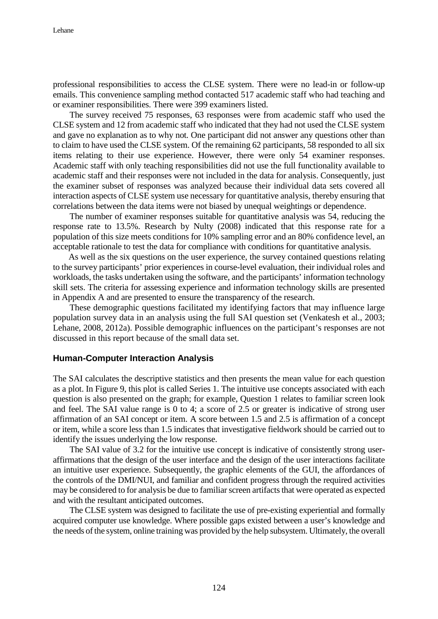professional responsibilities to access the CLSE system. There were no lead-in or follow-up emails. This convenience sampling method contacted 517 academic staff who had teaching and or examiner responsibilities. There were 399 examiners listed.

The survey received 75 responses, 63 responses were from academic staff who used the CLSE system and 12 from academic staff who indicated that they had not used the CLSE system and gave no explanation as to why not*.* One participant did not answer any questions other than to claim to have used the CLSE system. Of the remaining 62 participants, 58 responded to all six items relating to their use experience. However, there were only 54 examiner responses. Academic staff with only teaching responsibilities did not use the full functionality available to academic staff and their responses were not included in the data for analysis. Consequently, just the examiner subset of responses was analyzed because their individual data sets covered all interaction aspects of CLSE system use necessary for quantitative analysis, thereby ensuring that correlations between the data items were not biased by unequal weightings or dependence.

The number of examiner responses suitable for quantitative analysis was 54, reducing the response rate to 13.5%. Research by Nulty (2008) indicated that this response rate for a population of this size meets conditions for 10% sampling error and an 80% confidence level, an acceptable rationale to test the data for compliance with conditions for quantitative analysis.

As well as the six questions on the user experience, the survey contained questions relating to the survey participants' prior experiences in course-level evaluation, their individual roles and workloads, the tasks undertaken using the software, and the participants' information technology skill sets. The criteria for assessing experience and information technology skills are presented in Appendix A and are presented to ensure the transparency of the research.

These demographic questions facilitated my identifying factors that may influence large population survey data in an analysis using the full SAI question set (Venkatesh et al., 2003; Lehane, 2008, 2012a). Possible demographic influences on the participant's responses are not discussed in this report because of the small data set.

#### **Human-Computer Interaction Analysis**

The SAI calculates the descriptive statistics and then presents the mean value for each question as a plot. In Figure 9, this plot is called Series 1. The intuitive use concepts associated with each question is also presented on the graph; for example, Question 1 relates to familiar screen look and feel. The SAI value range is 0 to 4; a score of 2.5 or greater is indicative of strong user affirmation of an SAI concept or item. A score between 1.5 and 2.5 is affirmation of a concept or item, while a score less than 1.5 indicates that investigative fieldwork should be carried out to identify the issues underlying the low response.

The SAI value of 3.2 for the intuitive use concept is indicative of consistently strong useraffirmations that the design of the user interface and the design of the user interactions facilitate an intuitive user experience. Subsequently, the graphic elements of the GUI, the affordances of the controls of the DMI/NUI, and familiar and confident progress through the required activities may be considered to for analysis be due to familiar screen artifacts that were operated as expected and with the resultant anticipated outcomes.

The CLSE system was designed to facilitate the use of pre-existing experiential and formally acquired computer use knowledge. Where possible gaps existed between a user's knowledge and the needs of the system, online training was provided by the help subsystem. Ultimately, the overall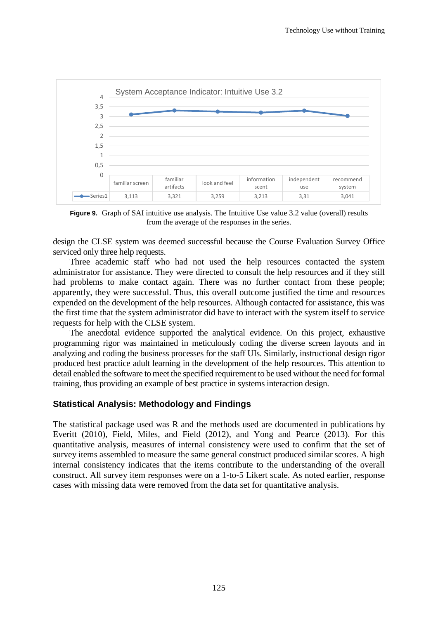

**Figure 9.** Graph of SAI intuitive use analysis. The Intuitive Use value 3.2 value (overall) results from the average of the responses in the series.

design the CLSE system was deemed successful because the Course Evaluation Survey Office serviced only three help requests.

Three academic staff who had not used the help resources contacted the system administrator for assistance. They were directed to consult the help resources and if they still had problems to make contact again. There was no further contact from these people; apparently, they were successful. Thus, this overall outcome justified the time and resources expended on the development of the help resources. Although contacted for assistance, this was the first time that the system administrator did have to interact with the system itself to service requests for help with the CLSE system.

The anecdotal evidence supported the analytical evidence. On this project, exhaustive programming rigor was maintained in meticulously coding the diverse screen layouts and in analyzing and coding the business processes for the staff UIs. Similarly, instructional design rigor produced best practice adult learning in the development of the help resources. This attention to detail enabled the software to meet the specified requirement to be used without the need for formal training, thus providing an example of best practice in systems interaction design.

#### **Statistical Analysis: Methodology and Findings**

The statistical package used was R and the methods used are documented in publications by Everitt (2010), Field, Miles, and Field (2012), and Yong and Pearce (2013). For this quantitative analysis, measures of internal consistency were used to confirm that the set of survey items assembled to measure the same general construct produced similar scores. A high internal consistency indicates that the items contribute to the understanding of the overall construct. All survey item responses were on a 1-to-5 Likert scale. As noted earlier, response cases with missing data were removed from the data set for quantitative analysis.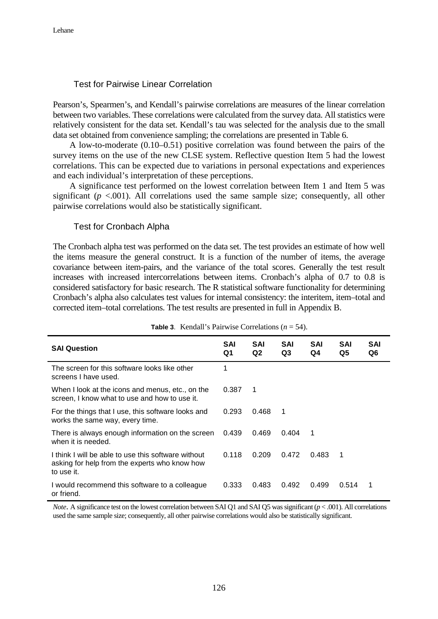### Test for Pairwise Linear Correlation

Pearson's, Spearmen's, and Kendall's pairwise correlations are measures of the linear correlation between two variables. These correlations were calculated from the survey data. All statistics were relatively consistent for the data set. Kendall's tau was selected for the analysis due to the small data set obtained from convenience sampling; the correlations are presented in Table 6.

A low-to-moderate (0.10–0.51) positive correlation was found between the pairs of the survey items on the use of the new CLSE system. Reflective question Item 5 had the lowest correlations. This can be expected due to variations in personal expectations and experiences and each individual's interpretation of these perceptions.

A significance test performed on the lowest correlation between Item 1 and Item 5 was significant  $(p < .001)$ . All correlations used the same sample size; consequently, all other pairwise correlations would also be statistically significant.

#### Test for Cronbach Alpha

The Cronbach alpha test was performed on the data set. The test provides an estimate of how well the items measure the general construct. It is a function of the number of items, the average covariance between item-pairs, and the variance of the total scores. Generally the test result increases with increased intercorrelations between items. Cronbach's alpha of 0.7 to 0.8 is considered satisfactory for basic research. The R statistical software functionality for determining Cronbach's alpha also calculates test values for internal consistency: the interitem, item–total and corrected item–total correlations. The test results are presented in full in Appendix B.

| <b>SAI Question</b>                                                                                                | <b>SAI</b><br>Q1 | <b>SAI</b><br>Q2 | <b>SAI</b><br>Q3 | <b>SAI</b><br>Q4 | <b>SAI</b><br>Q5 | <b>SAI</b><br>Q6 |
|--------------------------------------------------------------------------------------------------------------------|------------------|------------------|------------------|------------------|------------------|------------------|
| The screen for this software looks like other<br>screens I have used.                                              | 1                |                  |                  |                  |                  |                  |
| When I look at the icons and menus, etc., on the<br>screen, I know what to use and how to use it.                  | 0.387            | - 1              |                  |                  |                  |                  |
| For the things that I use, this software looks and<br>works the same way, every time.                              | 0.293            | 0.468            | 1                |                  |                  |                  |
| There is always enough information on the screen<br>when it is needed.                                             | 0.439            | 0.469            | 0.404            | -1               |                  |                  |
| I think I will be able to use this software without<br>asking for help from the experts who know how<br>to use it. | 0.118            | 0.209            | 0.472            | 0.483            | 1                |                  |
| I would recommend this software to a colleague<br>or friend.                                                       | 0.333            | 0.483            | 0.492            | 0.499            | 0.514            | 1                |

**Table 3**. Kendall's Pairwise Correlations (*n* = 54).

*Note*. A significance test on the lowest correlation between SAI Q1 and SAI Q5 was significant (*p* < .001). All correlations used the same sample size; consequently, all other pairwise correlations would also be statistically significant.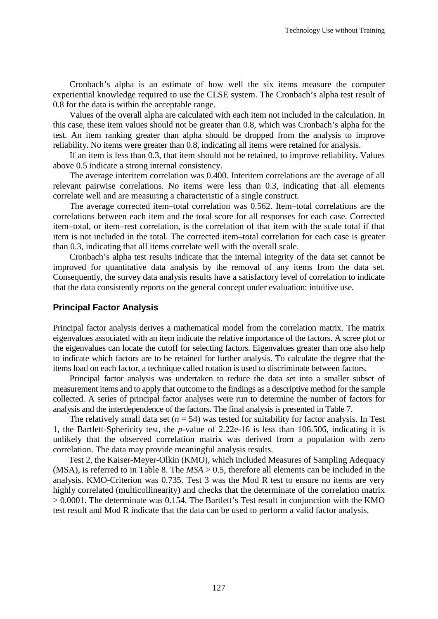Cronbach's alpha is an estimate of how well the six items measure the computer experiential knowledge required to use the CLSE system. The Cronbach's alpha test result of 0.8 for the data is within the acceptable range.

Values of the overall alpha are calculated with each item not included in the calculation. In this case, these item values should not be greater than 0.8, which was Cronbach's alpha for the test. An item ranking greater than alpha should be dropped from the analysis to improve reliability. No items were greater than 0.8, indicating all items were retained for analysis.

If an item is less than 0.3, that item should not be retained, to improve reliability. Values above 0.5 indicate a strong internal consistency.

The average interitem correlation was 0.400. Interitem correlations are the average of all relevant pairwise correlations. No items were less than 0.3, indicating that all elements correlate well and are measuring a characteristic of a single construct.

The average corrected item–total correlation was 0.562. Item–total correlations are the correlations between each item and the total score for all responses for each case. Corrected item–total, or item–rest correlation, is the correlation of that item with the scale total if that item is not included in the total. The corrected item–total correlation for each case is greater than 0.3, indicating that all items correlate well with the overall scale.

Cronbach's alpha test results indicate that the internal integrity of the data set cannot be improved for quantitative data analysis by the removal of any items from the data set. Consequently, the survey data analysis results have a satisfactory level of correlation to indicate that the data consistently reports on the general concept under evaluation: intuitive use.

#### **Principal Factor Analysis**

Principal factor analysis derives a mathematical model from the correlation matrix. The matrix eigenvalues associated with an item indicate the relative importance of the factors. A scree plot or the eigenvalues can locate the cutoff for selecting factors. Eigenvalues greater than one also help to indicate which factors are to be retained for further analysis. To calculate the degree that the items load on each factor, a technique called rotation is used to discriminate between factors.

Principal factor analysis was undertaken to reduce the data set into a smaller subset of measurement items and to apply that outcome to the findings as a descriptive method for the sample collected. A series of principal factor analyses were run to determine the number of factors for analysis and the interdependence of the factors. The final analysis is presented in Table 7.

The relatively small data set  $(n = 54)$  was tested for suitability for factor analysis. In Test 1, the Bartlett-Sphericity test, the *p*-value of 2.22e-16 is less than 106.506, indicating it is unlikely that the observed correlation matrix was derived from a population with zero correlation. The data may provide meaningful analysis results.

Test 2, the Kaiser-Meyer-Olkin (KMO), which included Measures of Sampling Adequacy (MSA), is referred to in Table 8. The *MSA* > 0.5, therefore all elements can be included in the analysis. KMO-Criterion was 0.735. Test 3 was the Mod R test to ensure no items are very highly correlated (multicollinearity) and checks that the determinate of the correlation matrix > 0.0001. The determinate was 0.154. The Bartlett's Test result in conjunction with the KMO test result and Mod R indicate that the data can be used to perform a valid factor analysis.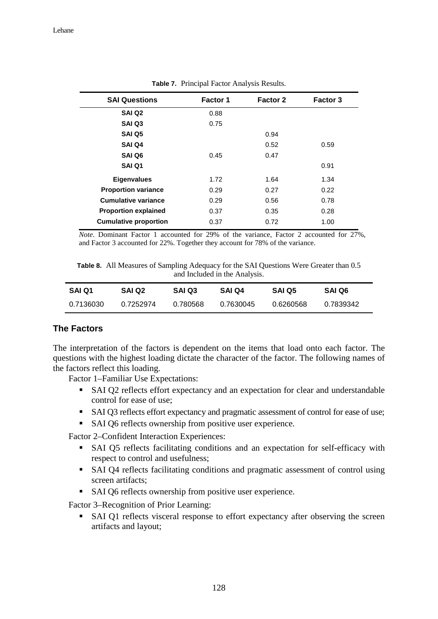| <b>SAI Questions</b>         | <b>Factor 1</b> | <b>Factor 2</b> | <b>Factor 3</b> |
|------------------------------|-----------------|-----------------|-----------------|
| SAI Q <sub>2</sub>           | 0.88            |                 |                 |
| <b>SAI Q3</b>                | 0.75            |                 |                 |
| SAI Q5                       |                 | 0.94            |                 |
| SAI Q4                       |                 | 0.52            | 0.59            |
| SAI Q6                       | 0.45            | 0.47            |                 |
| SAI Q1                       |                 |                 | 0.91            |
| <b>Eigenvalues</b>           | 1.72            | 1.64            | 1.34            |
| <b>Proportion variance</b>   | 0.29            | 0.27            | 0.22            |
| <b>Cumulative variance</b>   | 0.29            | 0.56            | 0.78            |
| <b>Proportion explained</b>  | 0.37            | 0.35            | 0.28            |
| <b>Cumulative proportion</b> | 0.37            | 0.72            | 1.00            |

**Table 7.** Principal Factor Analysis Results.

*Note*. Dominant Factor 1 accounted for 29% of the variance, Factor 2 accounted for 27%, and Factor 3 accounted for 22%. Together they account for 78% of the variance.

**Table 8.** All Measures of Sampling Adequacy for the SAI Questions Were Greater than 0.5 and Included in the Analysis.

| SAI Q1    | SAI Q2    | <b>SAI Q3</b> | SAI Q4    | <b>SAI Q5</b> | SAI Q6    |
|-----------|-----------|---------------|-----------|---------------|-----------|
| 0.7136030 | 0.7252974 | 0.780568      | 0.7630045 | 0.6260568     | 0.7839342 |

### **The Factors**

The interpretation of the factors is dependent on the items that load onto each factor. The questions with the highest loading dictate the character of the factor. The following names of the factors reflect this loading.

Factor 1–Familiar Use Expectations:

- SAI Q2 reflects effort expectancy and an expectation for clear and understandable control for ease of use;
- SAI Q3 reflects effort expectancy and pragmatic assessment of control for ease of use;
- SAI Q6 reflects ownership from positive user experience.

Factor 2–Confident Interaction Experiences:

- SAI Q5 reflects facilitating conditions and an expectation for self-efficacy with respect to control and usefulness;
- SAI Q4 reflects facilitating conditions and pragmatic assessment of control using screen artifacts;
- SAI Q6 reflects ownership from positive user experience.

Factor 3–Recognition of Prior Learning:

 SAI Q1 reflects visceral response to effort expectancy after observing the screen artifacts and layout;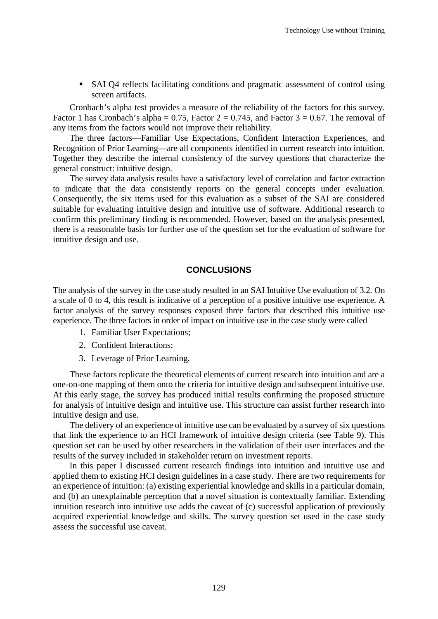SAI Q4 reflects facilitating conditions and pragmatic assessment of control using screen artifacts.

Cronbach's alpha test provides a measure of the reliability of the factors for this survey. Factor 1 has Cronbach's alpha = 0.75, Factor  $2 = 0.745$ , and Factor  $3 = 0.67$ . The removal of any items from the factors would not improve their reliability.

The three factors—Familiar Use Expectations, Confident Interaction Experiences, and Recognition of Prior Learning—are all components identified in current research into intuition. Together they describe the internal consistency of the survey questions that characterize the general construct: intuitive design.

The survey data analysis results have a satisfactory level of correlation and factor extraction to indicate that the data consistently reports on the general concepts under evaluation. Consequently, the six items used for this evaluation as a subset of the SAI are considered suitable for evaluating intuitive design and intuitive use of software. Additional research to confirm this preliminary finding is recommended. However, based on the analysis presented, there is a reasonable basis for further use of the question set for the evaluation of software for intuitive design and use.

#### **CONCLUSIONS**

The analysis of the survey in the case study resulted in an SAI Intuitive Use evaluation of 3.2. On a scale of 0 to 4, this result is indicative of a perception of a positive intuitive use experience. A factor analysis of the survey responses exposed three factors that described this intuitive use experience. The three factors in order of impact on intuitive use in the case study were called

- 1. Familiar User Expectations;
- 2. Confident Interactions;
- 3. Leverage of Prior Learning.

These factors replicate the theoretical elements of current research into intuition and are a one-on-one mapping of them onto the criteria for intuitive design and subsequent intuitive use. At this early stage, the survey has produced initial results confirming the proposed structure for analysis of intuitive design and intuitive use. This structure can assist further research into intuitive design and use.

The delivery of an experience of intuitive use can be evaluated by a survey of six questions that link the experience to an HCI framework of intuitive design criteria (see Table 9). This question set can be used by other researchers in the validation of their user interfaces and the results of the survey included in stakeholder return on investment reports.

In this paper I discussed current research findings into intuition and intuitive use and applied them to existing HCI design guidelines in a case study. There are two requirements for an experience of intuition: (a) existing experiential knowledge and skills in a particular domain, and (b) an unexplainable perception that a novel situation is contextually familiar. Extending intuition research into intuitive use adds the caveat of (c) successful application of previously acquired experiential knowledge and skills. The survey question set used in the case study assess the successful use caveat.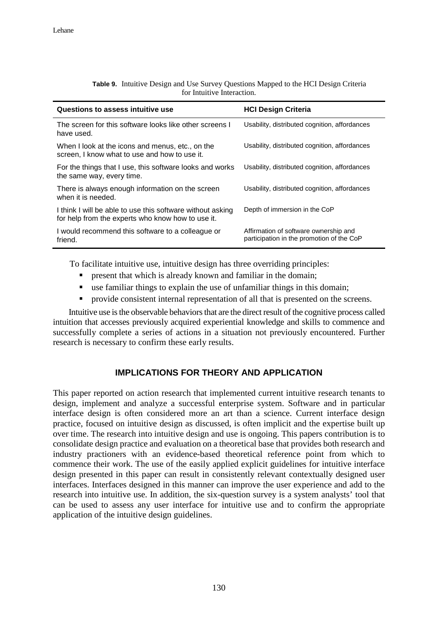| Questions to assess intuitive use                                                                               | <b>HCI Design Criteria</b>                                                         |
|-----------------------------------------------------------------------------------------------------------------|------------------------------------------------------------------------------------|
| The screen for this software looks like other screens I<br>have used.                                           | Usability, distributed cognition, affordances                                      |
| When I look at the icons and menus, etc., on the<br>screen, I know what to use and how to use it.               | Usability, distributed cognition, affordances                                      |
| For the things that I use, this software looks and works<br>the same way, every time.                           | Usability, distributed cognition, affordances                                      |
| There is always enough information on the screen<br>when it is needed.                                          | Usability, distributed cognition, affordances                                      |
| I think I will be able to use this software without asking<br>for help from the experts who know how to use it. | Depth of immersion in the CoP                                                      |
| I would recommend this software to a colleague or<br>friend.                                                    | Affirmation of software ownership and<br>participation in the promotion of the CoP |

#### **Table 9.** Intuitive Design and Use Survey Questions Mapped to the HCI Design Criteria for Intuitive Interaction.

To facilitate intuitive use, intuitive design has three overriding principles:

- present that which is already known and familiar in the domain;
- use familiar things to explain the use of unfamiliar things in this domain;
- provide consistent internal representation of all that is presented on the screens.

Intuitive use is the observable behaviors that are the direct result of the cognitive process called intuition that accesses previously acquired experiential knowledge and skills to commence and successfully complete a series of actions in a situation not previously encountered. Further research is necessary to confirm these early results.

### **IMPLICATIONS FOR THEORY AND APPLICATION**

This paper reported on action research that implemented current intuitive research tenants to design, implement and analyze a successful enterprise system. Software and in particular interface design is often considered more an art than a science. Current interface design practice, focused on intuitive design as discussed, is often implicit and the expertise built up over time. The research into intuitive design and use is ongoing. This papers contribution is to consolidate design practice and evaluation on a theoretical base that provides both research and industry practioners with an evidence-based theoretical reference point from which to commence their work. The use of the easily applied explicit guidelines for intuitive interface design presented in this paper can result in consistently relevant contextually designed user interfaces. Interfaces designed in this manner can improve the user experience and add to the research into intuitive use. In addition, the six-question survey is a system analysts' tool that can be used to assess any user interface for intuitive use and to confirm the appropriate application of the intuitive design guidelines.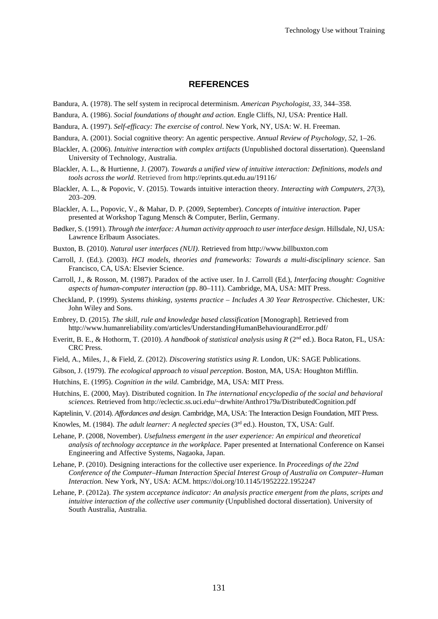#### **REFERENCES**

- Bandura, A. (1978). The self system in reciprocal determinism. *American Psychologist*, *33*, 344–358.
- Bandura, A. (1986). *Social foundations of thought and action*. Engle Cliffs, NJ, USA: Prentice Hall.
- Bandura, A. (1997). *Self-efficacy: The exercise of control*. New York, NY, USA: W. H. Freeman.
- Bandura, A. (2001). Social cognitive theory: An agentic perspective. *Annual Review of Psychology*, *52*, 1–26.
- Blackler, A. (2006). *Intuitive interaction with complex artifacts* (Unpublished doctoral dissertation). Queensland University of Technology, Australia.
- Blackler, A. L., & Hurtienne, J. (2007). *Towards a unified view of intuitive interaction: Definitions, models and tools across the world*. Retrieved from http://eprints.qut.edu.au/19116/
- Blackler, A. L., & Popovic, V. (2015). Towards intuitive interaction theory. *Interacting with Computers, 27*(3), 203–209.
- Blackler, A. L., Popovic, V., & Mahar, D. P. (2009, September). *Concepts of intuitive interaction.* Paper presented at Workshop Tagung Mensch & Computer, Berlin, Germany.
- Bødker, S. (1991). *Through the interface: A human activity approach to user interface design*. Hillsdale, NJ, USA: Lawrence Erlbaum Associates.
- Buxton, B. (2010). *Natural user interfaces (NUI)*. Retrieved from http://www.billbuxton.com
- Carroll, J. (Ed.). (2003). *HCI models, theories and frameworks: Towards a multi-disciplinary science*. San Francisco, CA, USA: Elsevier Science.
- Carroll, J., & Rosson, M. (1987). Paradox of the active user. In J. Carroll (Ed.), *Interfacing thought: Cognitive aspects of human-computer interaction* (pp. 80–111). Cambridge, MA, USA: MIT Press.
- Checkland, P. (1999). *Systems thinking, systems practice – Includes A 30 Year Retrospective.* Chichester, UK: John Wiley and Sons.
- Embrey, D. (2015). *The skill, rule and knowledge based classification* [Monograph]. Retrieved from http://www.humanreliability.com/articles/UnderstandingHumanBehaviourandError.pdf/
- Everitt, B. E., & Hothorm, T. (2010). *A handbook of statistical analysis using R* (2nd ed.). Boca Raton, FL, USA: CRC Press.
- Field, A., Miles, J., & Field, Z. (2012). *Discovering statistics using R*. London, UK: SAGE Publications.
- Gibson, J. (1979). *The ecological approach to visual perception*. Boston, MA, USA: Houghton Mifflin.
- Hutchins, E. (1995). *Cognition in the wild*. Cambridge, MA, USA: MIT Press.
- Hutchins, E. (2000, May). Distributed cognition. In *The international encyclopedia of the social and behavioral sciences*. Retrieved from http://eclectic.ss.uci.edu/~drwhite/Anthro179a/DistributedCognition.pdf
- Kaptelinin, V. (2014). *Affordances and design.* Cambridge, MA, USA: The Interaction Design Foundation, MIT Press.
- Knowles, M. (1984). *The adult learner: A neglected species* (3rd ed.). Houston, TX, USA: Gulf.
- Lehane, P. (2008, November). *Usefulness emergent in the user experience: An empirical and theoretical analysis of technology acceptance in the workplace.* Paper presented at International Conference on Kansei Engineering and Affective Systems, Nagaoka, Japan.
- Lehane, P. (2010). Designing interactions for the collective user experience. In *Proceedings of the 22nd Conference of the Computer*–*Human Interaction Special Interest Group of Australia on Computer*–*Human Interaction.* New York, NY, USA: ACM. https://doi.org/10.1145/1952222.1952247
- Lehane, P. (2012a). *The system acceptance indicator: An analysis practice emergent from the plans, scripts and intuitive interaction of the collective user community* (Unpublished doctoral dissertation). University of South Australia, Australia.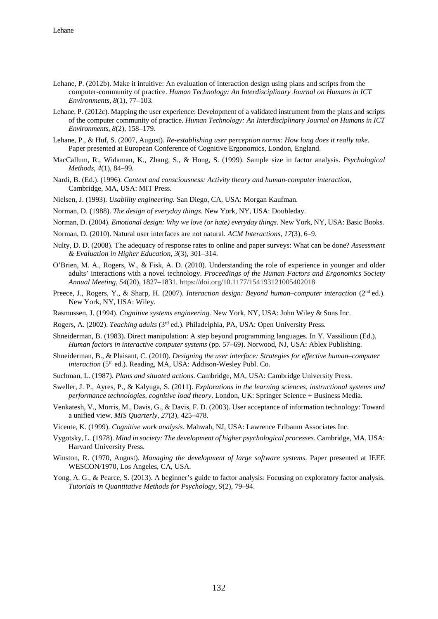- Lehane, P. (2012b). Make it intuitive: An evaluation of interaction design using plans and scripts from the computer-community of practice. *Human Technology: An Interdisciplinary Journal on Humans in ICT Environments*, *8*(1), 77–103*.*
- Lehane, P. (2012c). Mapping the user experience: Development of a validated instrument from the plans and scripts of the computer community of practice. *Human Technology: An Interdisciplinary Journal on Humans in ICT Environments*, *8*(2), 158–179.
- Lehane, P., & Huf, S. (2007, August). *Re-establishing user perception norms: How long does it really take*. Paper presented at European Conference of Cognitive Ergonomics, London, England.
- MacCallum, R., Widaman, K., Zhang, S., & Hong, S. (1999). Sample size in factor analysis. *Psychological Methods, 4*(1), 84–99*.*
- Nardi, B. (Ed.). (1996). *Context and consciousness: Activity theory and human-computer interaction,*  Cambridge, MA, USA: MIT Press.
- Nielsen, J. (1993). *Usability engineering.* San Diego, CA, USA: Morgan Kaufman.
- Norman, D. (1988). *The design of everyday things*. New York, NY, USA: Doubleday.
- Norman, D. (2004). *Emotional design: Why we love (or hate) everyday things*. New York, NY, USA: Basic Books.
- Norman, D. (2010). Natural user interfaces are not natural. *ACM Interactions*, *17*(3), 6–9.
- Nulty, D. D. (2008). The adequacy of response rates to online and paper surveys: What can be done? *Assessment & Evaluation in Higher Education*, *3*(3), 301–314.
- O'Brien, M. A., Rogers, W., & Fisk, A. D. (2010). Understanding the role of experience in younger and older adults' interactions with a novel technology. *Proceedings of the Human Factors and Ergonomics Society Annual Meeting, 54*(20), 1827–1831. https://doi.org/10.1177/154193121005402018
- Preece, J., Rogers, Y., & Sharp, H. (2007). *Interaction design: Beyond human–computer interaction* (2<sup>nd</sup> ed.). New York, NY, USA: Wiley.
- Rasmussen, J. (1994). *Cognitive systems engineering.* New York, NY, USA: John Wiley & Sons Inc.
- Rogers, A. (2002). *Teaching adults* (3rd ed.). Philadelphia, PA, USA: Open University Press.
- Shneiderman, B. (1983). Direct manipulation: A step beyond programming languages. In Y. Vassilioun (Ed.), *Human factors in interactive computer systems* (pp. 57*–*69). Norwood, NJ, USA: Ablex Publishing.
- Shneiderman, B., & Plaisant, C. (2010). *Designing the user interface: Strategies for effective human–computer interaction* (5<sup>th</sup> ed.). Reading, MA, USA: Addison-Wesley Publ. Co.
- Suchman, L. (1987). *Plans and situated actions*. Cambridge, MA, USA: Cambridge University Press.
- Sweller, J. P., Ayres, P., & Kalyuga, S. (2011). *Explorations in the learning sciences, instructional systems and performance technologies, cognitive load theory*. London, UK: Springer Science + Business Media.
- Venkatesh, V., Morris, M., Davis, G., & Davis, F. D. (2003). User acceptance of information technology: Toward a unified view. *MIS Quarterly*, *27*(3), 425–478.
- Vicente, K. (1999). *Cognitive work analysis*. Mahwah, NJ, USA: Lawrence Erlbaum Associates Inc.
- Vygotsky, L. (1978). *Mind in society: The development of higher psychological processes*. Cambridge, MA, USA: Harvard University Press.
- Winston, R. (1970, August). *Managing the development of large software systems*. Paper presented at IEEE WESCON/1970, Los Angeles, CA, USA.
- Yong, A. G., & Pearce, S. (2013). A beginner's guide to factor analysis: Focusing on exploratory factor analysis. *Tutorials in Quantitative Methods for Psychology, 9*(2), 79–94.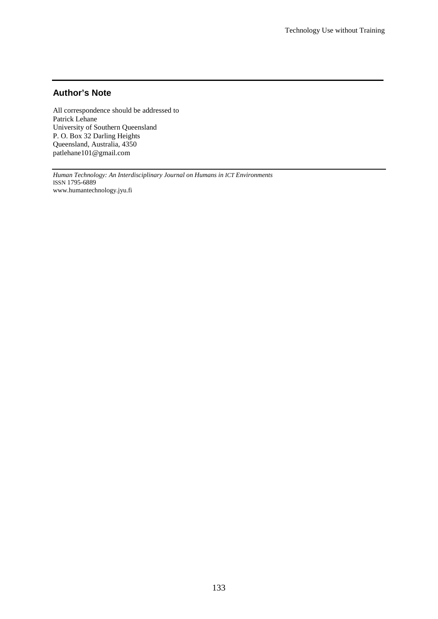### **Author's Note**

All correspondence should be addressed to Patrick Lehane University of Southern Queensland P. O. Box 32 Darling Heights Queensland, Australia, 4350 patlehane101@gmail.com

*Human Technology: An Interdisciplinary Journal on Humans in ICT Environments* ISSN 1795-6889 www.humantechnology.jyu.fi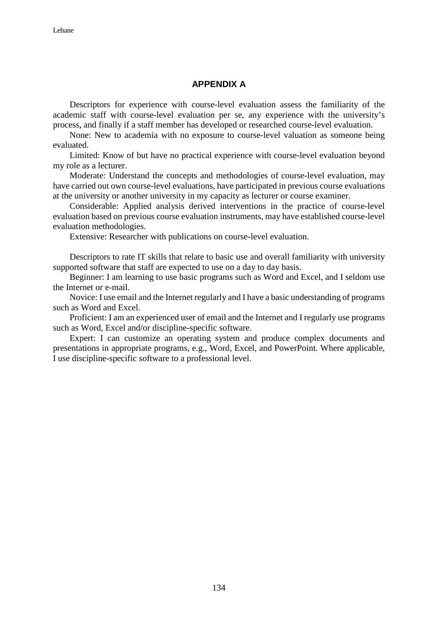### **APPENDIX A**

Descriptors for experience with course-level evaluation assess the familiarity of the academic staff with course-level evaluation per se, any experience with the university's process, and finally if a staff member has developed or researched course-level evaluation.

None: New to academia with no exposure to course-level valuation as someone being evaluated.

Limited: Know of but have no practical experience with course-level evaluation beyond my role as a lecturer.

Moderate: Understand the concepts and methodologies of course-level evaluation, may have carried out own course-level evaluations, have participated in previous course evaluations at the university or another university in my capacity as lecturer or course examiner.

Considerable: Applied analysis derived interventions in the practice of course-level evaluation based on previous course evaluation instruments, may have established course-level evaluation methodologies.

Extensive: Researcher with publications on course-level evaluation.

Descriptors to rate IT skills that relate to basic use and overall familiarity with university supported software that staff are expected to use on a day to day basis.

Beginner: I am learning to use basic programs such as Word and Excel, and I seldom use the Internet or e-mail.

Novice: I use email and the Internet regularly and I have a basic understanding of programs such as Word and Excel.

Proficient: I am an experienced user of email and the Internet and I regularly use programs such as Word, Excel and/or discipline-specific software.

Expert: I can customize an operating system and produce complex documents and presentations in appropriate programs, e.g., Word, Excel, and PowerPoint. Where applicable, I use discipline-specific software to a professional level.